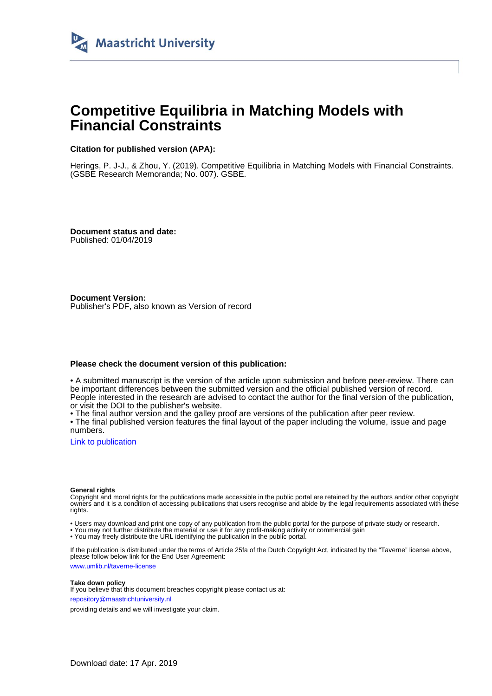

## **Competitive Equilibria in Matching Models with Financial Constraints**

### **Citation for published version (APA):**

Herings, P. J-J., & Zhou, Y. (2019). Competitive Equilibria in Matching Models with Financial Constraints. (GSBE Research Memoranda; No. 007). GSBE.

**Document status and date:** Published: 01/04/2019

**Document Version:** Publisher's PDF, also known as Version of record

### **Please check the document version of this publication:**

• A submitted manuscript is the version of the article upon submission and before peer-review. There can be important differences between the submitted version and the official published version of record. People interested in the research are advised to contact the author for the final version of the publication, or visit the DOI to the publisher's website.

• The final author version and the galley proof are versions of the publication after peer review.

• The final published version features the final layout of the paper including the volume, issue and page numbers.

[Link to publication](https://cris.maastrichtuniversity.nl/portal/en/publications/competitive-equilibria-in-matching-models-with-financial-constraints(74ba1716-5775-44a9-9fc5-504701b01872).html)

### **General rights**

Copyright and moral rights for the publications made accessible in the public portal are retained by the authors and/or other copyright owners and it is a condition of accessing publications that users recognise and abide by the legal requirements associated with these rights.

• Users may download and print one copy of any publication from the public portal for the purpose of private study or research.

• You may not further distribute the material or use it for any profit-making activity or commercial gain

• You may freely distribute the URL identifying the publication in the public portal.

If the publication is distributed under the terms of Article 25fa of the Dutch Copyright Act, indicated by the "Taverne" license above, please follow below link for the End User Agreement:

www.umlib.nl/taverne-license

### **Take down policy**

If you believe that this document breaches copyright please contact us at: repository@maastrichtuniversity.nl

providing details and we will investigate your claim.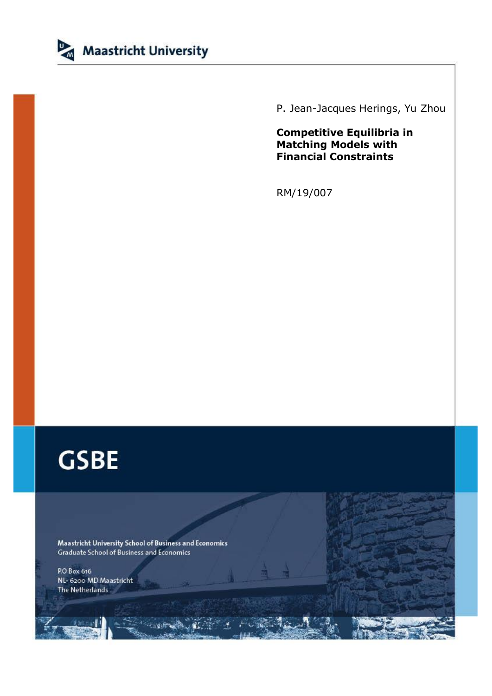

P. Jean-Jacques Herings, Yu Zhou

**Competitive Equilibria in Matching Models with Financial Constraints**

RM/19/007

# **GSBE**

Maastricht University School of Business and Economics Graduate School of Business and Economics

P.O Box 616 NL- 6200 MD Maastricht The Netherlands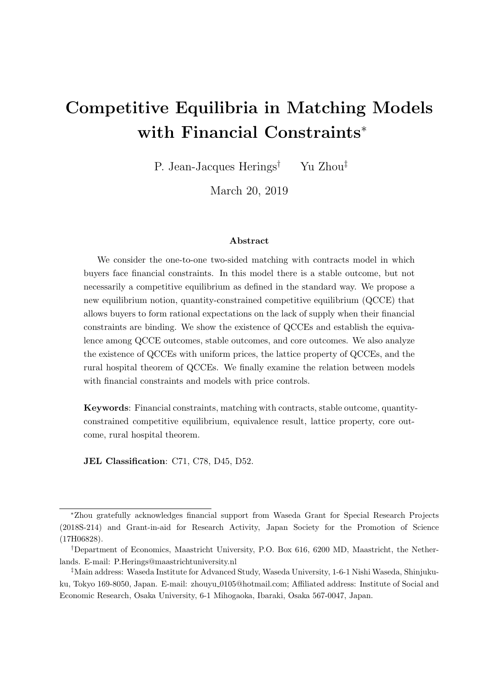## Competitive Equilibria in Matching Models with Financial Constraints<sup>∗</sup>

P. Jean-Jacques Herings† Yu Zhou‡

March 20, 2019

### Abstract

We consider the one-to-one two-sided matching with contracts model in which buyers face financial constraints. In this model there is a stable outcome, but not necessarily a competitive equilibrium as defined in the standard way. We propose a new equilibrium notion, quantity-constrained competitive equilibrium (QCCE) that allows buyers to form rational expectations on the lack of supply when their financial constraints are binding. We show the existence of QCCEs and establish the equivalence among QCCE outcomes, stable outcomes, and core outcomes. We also analyze the existence of QCCEs with uniform prices, the lattice property of QCCEs, and the rural hospital theorem of QCCEs. We finally examine the relation between models with financial constraints and models with price controls.

Keywords: Financial constraints, matching with contracts, stable outcome, quantityconstrained competitive equilibrium, equivalence result, lattice property, core outcome, rural hospital theorem.

JEL Classification: C71, C78, D45, D52.

<sup>∗</sup>Zhou gratefully acknowledges financial support from Waseda Grant for Special Research Projects (2018S-214) and Grant-in-aid for Research Activity, Japan Society for the Promotion of Science (17H06828).

<sup>†</sup>Department of Economics, Maastricht University, P.O. Box 616, 6200 MD, Maastricht, the Netherlands. E-mail: P.Herings@maastrichtuniversity.nl

<sup>‡</sup>Main address: Waseda Institute for Advanced Study, Waseda University, 1-6-1 Nishi Waseda, Shinjukuku, Tokyo 169-8050, Japan. E-mail: zhouyu\_0105@hotmail.com; Affiliated address: Institute of Social and Economic Research, Osaka University, 6-1 Mihogaoka, Ibaraki, Osaka 567-0047, Japan.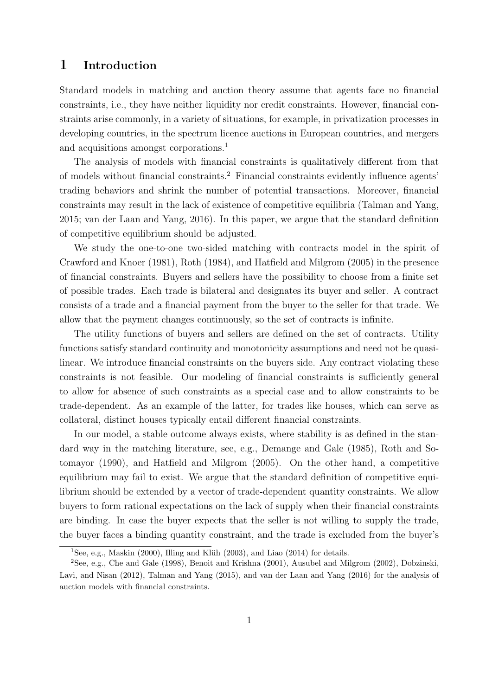## 1 Introduction

Standard models in matching and auction theory assume that agents face no financial constraints, i.e., they have neither liquidity nor credit constraints. However, financial constraints arise commonly, in a variety of situations, for example, in privatization processes in developing countries, in the spectrum licence auctions in European countries, and mergers and acquisitions amongst corporations.<sup>1</sup>

The analysis of models with financial constraints is qualitatively different from that of models without financial constraints.<sup>2</sup> Financial constraints evidently influence agents' trading behaviors and shrink the number of potential transactions. Moreover, financial constraints may result in the lack of existence of competitive equilibria (Talman and Yang, 2015; van der Laan and Yang, 2016). In this paper, we argue that the standard definition of competitive equilibrium should be adjusted.

We study the one-to-one two-sided matching with contracts model in the spirit of Crawford and Knoer (1981), Roth (1984), and Hatfield and Milgrom (2005) in the presence of financial constraints. Buyers and sellers have the possibility to choose from a finite set of possible trades. Each trade is bilateral and designates its buyer and seller. A contract consists of a trade and a financial payment from the buyer to the seller for that trade. We allow that the payment changes continuously, so the set of contracts is infinite.

The utility functions of buyers and sellers are defined on the set of contracts. Utility functions satisfy standard continuity and monotonicity assumptions and need not be quasilinear. We introduce financial constraints on the buyers side. Any contract violating these constraints is not feasible. Our modeling of financial constraints is sufficiently general to allow for absence of such constraints as a special case and to allow constraints to be trade-dependent. As an example of the latter, for trades like houses, which can serve as collateral, distinct houses typically entail different financial constraints.

In our model, a stable outcome always exists, where stability is as defined in the standard way in the matching literature, see, e.g., Demange and Gale (1985), Roth and Sotomayor (1990), and Hatfield and Milgrom (2005). On the other hand, a competitive equilibrium may fail to exist. We argue that the standard definition of competitive equilibrium should be extended by a vector of trade-dependent quantity constraints. We allow buyers to form rational expectations on the lack of supply when their financial constraints are binding. In case the buyer expects that the seller is not willing to supply the trade, the buyer faces a binding quantity constraint, and the trade is excluded from the buyer's

<sup>&</sup>lt;sup>1</sup>See, e.g., Maskin (2000), Illing and Klüh (2003), and Liao (2014) for details.

<sup>2</sup>See, e.g., Che and Gale (1998), Benoit and Krishna (2001), Ausubel and Milgrom (2002), Dobzinski, Lavi, and Nisan (2012), Talman and Yang (2015), and van der Laan and Yang (2016) for the analysis of auction models with financial constraints.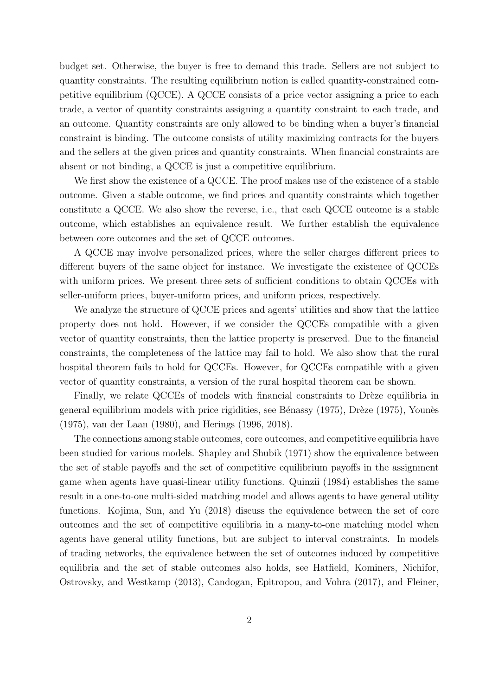budget set. Otherwise, the buyer is free to demand this trade. Sellers are not subject to quantity constraints. The resulting equilibrium notion is called quantity-constrained competitive equilibrium (QCCE). A QCCE consists of a price vector assigning a price to each trade, a vector of quantity constraints assigning a quantity constraint to each trade, and an outcome. Quantity constraints are only allowed to be binding when a buyer's financial constraint is binding. The outcome consists of utility maximizing contracts for the buyers and the sellers at the given prices and quantity constraints. When financial constraints are absent or not binding, a QCCE is just a competitive equilibrium.

We first show the existence of a QCCE. The proof makes use of the existence of a stable outcome. Given a stable outcome, we find prices and quantity constraints which together constitute a QCCE. We also show the reverse, i.e., that each QCCE outcome is a stable outcome, which establishes an equivalence result. We further establish the equivalence between core outcomes and the set of QCCE outcomes.

A QCCE may involve personalized prices, where the seller charges different prices to different buyers of the same object for instance. We investigate the existence of QCCEs with uniform prices. We present three sets of sufficient conditions to obtain QCCEs with seller-uniform prices, buyer-uniform prices, and uniform prices, respectively.

We analyze the structure of QCCE prices and agents' utilities and show that the lattice property does not hold. However, if we consider the QCCEs compatible with a given vector of quantity constraints, then the lattice property is preserved. Due to the financial constraints, the completeness of the lattice may fail to hold. We also show that the rural hospital theorem fails to hold for QCCEs. However, for QCCEs compatible with a given vector of quantity constraints, a version of the rural hospital theorem can be shown.

Finally, we relate QCCEs of models with financial constraints to Drèze equilibria in general equilibrium models with price rigidities, see Bénassy (1975), Drèze (1975), Younès (1975), van der Laan (1980), and Herings (1996, 2018).

The connections among stable outcomes, core outcomes, and competitive equilibria have been studied for various models. Shapley and Shubik (1971) show the equivalence between the set of stable payoffs and the set of competitive equilibrium payoffs in the assignment game when agents have quasi-linear utility functions. Quinzii (1984) establishes the same result in a one-to-one multi-sided matching model and allows agents to have general utility functions. Kojima, Sun, and Yu (2018) discuss the equivalence between the set of core outcomes and the set of competitive equilibria in a many-to-one matching model when agents have general utility functions, but are subject to interval constraints. In models of trading networks, the equivalence between the set of outcomes induced by competitive equilibria and the set of stable outcomes also holds, see Hatfield, Kominers, Nichifor, Ostrovsky, and Westkamp (2013), Candogan, Epitropou, and Vohra (2017), and Fleiner,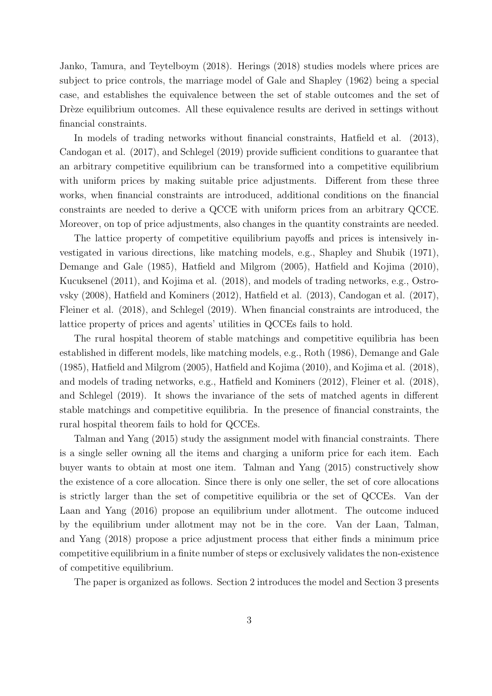Janko, Tamura, and Teytelboym (2018). Herings (2018) studies models where prices are subject to price controls, the marriage model of Gale and Shapley (1962) being a special case, and establishes the equivalence between the set of stable outcomes and the set of Drèze equilibrium outcomes. All these equivalence results are derived in settings without financial constraints.

In models of trading networks without financial constraints, Hatfield et al. (2013), Candogan et al. (2017), and Schlegel (2019) provide sufficient conditions to guarantee that an arbitrary competitive equilibrium can be transformed into a competitive equilibrium with uniform prices by making suitable price adjustments. Different from these three works, when financial constraints are introduced, additional conditions on the financial constraints are needed to derive a QCCE with uniform prices from an arbitrary QCCE. Moreover, on top of price adjustments, also changes in the quantity constraints are needed.

The lattice property of competitive equilibrium payoffs and prices is intensively investigated in various directions, like matching models, e.g., Shapley and Shubik (1971), Demange and Gale (1985), Hatfield and Milgrom (2005), Hatfield and Kojima (2010), Kucuksenel (2011), and Kojima et al. (2018), and models of trading networks, e.g., Ostrovsky (2008), Hatfield and Kominers (2012), Hatfield et al. (2013), Candogan et al. (2017), Fleiner et al. (2018), and Schlegel (2019). When financial constraints are introduced, the lattice property of prices and agents' utilities in QCCEs fails to hold.

The rural hospital theorem of stable matchings and competitive equilibria has been established in different models, like matching models, e.g., Roth (1986), Demange and Gale (1985), Hatfield and Milgrom (2005), Hatfield and Kojima (2010), and Kojima et al. (2018), and models of trading networks, e.g., Hatfield and Kominers (2012), Fleiner et al. (2018), and Schlegel (2019). It shows the invariance of the sets of matched agents in different stable matchings and competitive equilibria. In the presence of financial constraints, the rural hospital theorem fails to hold for QCCEs.

Talman and Yang (2015) study the assignment model with financial constraints. There is a single seller owning all the items and charging a uniform price for each item. Each buyer wants to obtain at most one item. Talman and Yang (2015) constructively show the existence of a core allocation. Since there is only one seller, the set of core allocations is strictly larger than the set of competitive equilibria or the set of QCCEs. Van der Laan and Yang (2016) propose an equilibrium under allotment. The outcome induced by the equilibrium under allotment may not be in the core. Van der Laan, Talman, and Yang (2018) propose a price adjustment process that either finds a minimum price competitive equilibrium in a finite number of steps or exclusively validates the non-existence of competitive equilibrium.

The paper is organized as follows. Section 2 introduces the model and Section 3 presents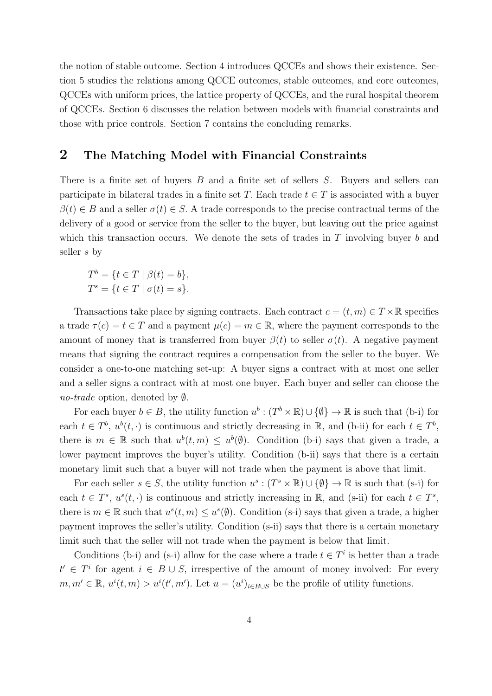the notion of stable outcome. Section 4 introduces QCCEs and shows their existence. Section 5 studies the relations among QCCE outcomes, stable outcomes, and core outcomes, QCCEs with uniform prices, the lattice property of QCCEs, and the rural hospital theorem of QCCEs. Section 6 discusses the relation between models with financial constraints and those with price controls. Section 7 contains the concluding remarks.

## 2 The Matching Model with Financial Constraints

There is a finite set of buyers B and a finite set of sellers S. Buyers and sellers can participate in bilateral trades in a finite set T. Each trade  $t \in T$  is associated with a buyer  $\beta(t) \in B$  and a seller  $\sigma(t) \in S$ . A trade corresponds to the precise contractual terms of the delivery of a good or service from the seller to the buyer, but leaving out the price against which this transaction occurs. We denote the sets of trades in  $T$  involving buyer  $b$  and seller s by

$$
T^{b} = \{ t \in T \mid \beta(t) = b \},
$$
  

$$
T^{s} = \{ t \in T \mid \sigma(t) = s \}.
$$

Transactions take place by signing contracts. Each contract  $c = (t, m) \in T \times \mathbb{R}$  specifies a trade  $\tau(c) = t \in T$  and a payment  $\mu(c) = m \in \mathbb{R}$ , where the payment corresponds to the amount of money that is transferred from buyer  $\beta(t)$  to seller  $\sigma(t)$ . A negative payment means that signing the contract requires a compensation from the seller to the buyer. We consider a one-to-one matching set-up: A buyer signs a contract with at most one seller and a seller signs a contract with at most one buyer. Each buyer and seller can choose the no-trade option, denoted by ∅.

For each buyer  $b \in B$ , the utility function  $u^b : (T^b \times \mathbb{R}) \cup \{ \emptyset \} \to \mathbb{R}$  is such that (b-i) for each  $t \in T^b$ ,  $u^b(t, \cdot)$  is continuous and strictly decreasing in R, and (b-ii) for each  $t \in T^b$ , there is  $m \in \mathbb{R}$  such that  $u^b(t,m) \leq u^b(\emptyset)$ . Condition (b-i) says that given a trade, a lower payment improves the buyer's utility. Condition (b-ii) says that there is a certain monetary limit such that a buyer will not trade when the payment is above that limit.

For each seller  $s \in S$ , the utility function  $u^s : (T^s \times \mathbb{R}) \cup \{ \emptyset \} \to \mathbb{R}$  is such that (s-i) for each  $t \in T^s$ ,  $u^s(t, \cdot)$  is continuous and strictly increasing in  $\mathbb{R}$ , and (s-ii) for each  $t \in T^s$ , there is  $m \in \mathbb{R}$  such that  $u^s(t, m) \leq u^s(\emptyset)$ . Condition (s-i) says that given a trade, a higher payment improves the seller's utility. Condition (s-ii) says that there is a certain monetary limit such that the seller will not trade when the payment is below that limit.

Conditions (b-i) and (s-i) allow for the case where a trade  $t \in T<sup>i</sup>$  is better than a trade  $t'$  ∈  $T<sup>i</sup>$  for agent  $i \in B \cup S$ , irrespective of the amount of money involved: For every  $m, m' \in \mathbb{R}, u^{i}(t, m) > u^{i}(t', m')$ . Let  $u = (u^{i})_{i \in B \cup S}$  be the profile of utility functions.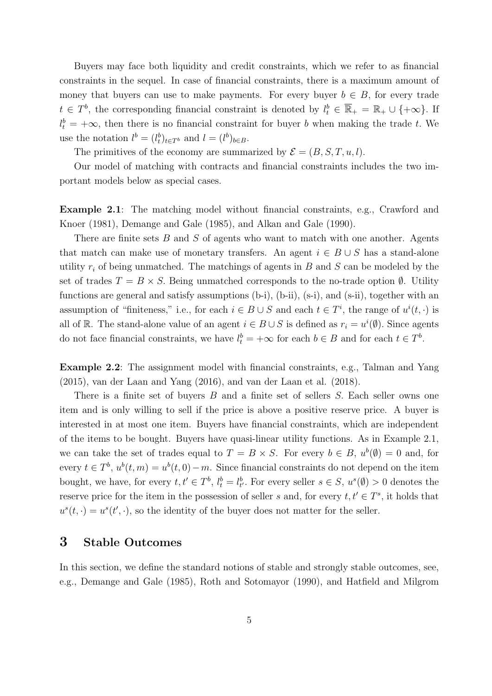Buyers may face both liquidity and credit constraints, which we refer to as financial constraints in the sequel. In case of financial constraints, there is a maximum amount of money that buyers can use to make payments. For every buyer  $b \in B$ , for every trade  $t \in T^b$ , the corresponding financial constraint is denoted by  $l_t^b \in \overline{\mathbb{R}}_+ = \mathbb{R}_+ \cup \{+\infty\}$ . If  $l_t^b = +\infty$ , then there is no financial constraint for buyer b when making the trade t. We use the notation  $l^b = (l_t^b)_{t \in T^b}$  and  $l = (l^b)_{b \in B}$ .

The primitives of the economy are summarized by  $\mathcal{E} = (B, S, T, u, l)$ .

Our model of matching with contracts and financial constraints includes the two important models below as special cases.

Example 2.1: The matching model without financial constraints, e.g., Crawford and Knoer (1981), Demange and Gale (1985), and Alkan and Gale (1990).

There are finite sets  $B$  and  $S$  of agents who want to match with one another. Agents that match can make use of monetary transfers. An agent  $i \in B \cup S$  has a stand-alone utility  $r_i$  of being unmatched. The matchings of agents in  $B$  and  $S$  can be modeled by the set of trades  $T = B \times S$ . Being unmatched corresponds to the no-trade option  $\emptyset$ . Utility functions are general and satisfy assumptions (b-i), (b-ii), (s-i), and (s-ii), together with an assumption of "finiteness," i.e., for each  $i \in B \cup S$  and each  $t \in T^i$ , the range of  $u^i(t, \cdot)$  is all of R. The stand-alone value of an agent  $i \in B \cup S$  is defined as  $r_i = u^i(\emptyset)$ . Since agents do not face financial constraints, we have  $l_t^b = +\infty$  for each  $b \in B$  and for each  $t \in T^b$ .

Example 2.2: The assignment model with financial constraints, e.g., Talman and Yang (2015), van der Laan and Yang (2016), and van der Laan et al. (2018).

There is a finite set of buyers B and a finite set of sellers S. Each seller owns one item and is only willing to sell if the price is above a positive reserve price. A buyer is interested in at most one item. Buyers have financial constraints, which are independent of the items to be bought. Buyers have quasi-linear utility functions. As in Example 2.1, we can take the set of trades equal to  $T = B \times S$ . For every  $b \in B$ ,  $u^b(\emptyset) = 0$  and, for every  $t \in T^b$ ,  $u^b(t, m) = u^b(t, 0) - m$ . Since financial constraints do not depend on the item bought, we have, for every  $t, t' \in T^b$ ,  $l_t^b = l_{t'}^b$ . For every seller  $s \in S$ ,  $u^s(\emptyset) > 0$  denotes the reserve price for the item in the possession of seller s and, for every  $t, t' \in T^s$ , it holds that  $u^{s}(t, \cdot) = u^{s}(t', \cdot)$ , so the identity of the buyer does not matter for the seller.

## 3 Stable Outcomes

In this section, we define the standard notions of stable and strongly stable outcomes, see, e.g., Demange and Gale (1985), Roth and Sotomayor (1990), and Hatfield and Milgrom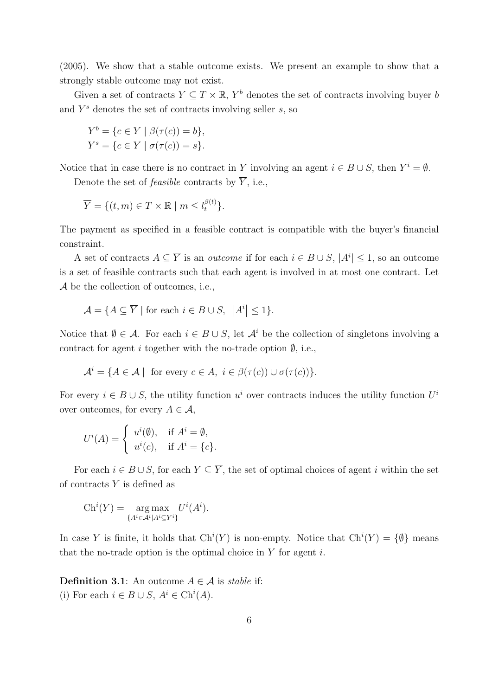(2005). We show that a stable outcome exists. We present an example to show that a strongly stable outcome may not exist.

Given a set of contracts  $Y \subseteq T \times \mathbb{R}$ ,  $Y^b$  denotes the set of contracts involving buyer b and  $Y^s$  denotes the set of contracts involving seller  $s$ , so

$$
Y^{b} = \{c \in Y \mid \beta(\tau(c)) = b\},\
$$
  

$$
Y^{s} = \{c \in Y \mid \sigma(\tau(c)) = s\}.
$$

Notice that in case there is no contract in Y involving an agent  $i \in B \cup S$ , then  $Y^i = \emptyset$ .

Denote the set of *feasible* contracts by  $\overline{Y}$ , i.e.,

$$
\overline{Y} = \{ (t, m) \in T \times \mathbb{R} \mid m \le l_t^{\beta(t)} \}.
$$

The payment as specified in a feasible contract is compatible with the buyer's financial constraint.

A set of contracts  $A \subseteq \overline{Y}$  is an *outcome* if for each  $i \in B \cup S$ ,  $|A^i| \leq 1$ , so an outcome is a set of feasible contracts such that each agent is involved in at most one contract. Let A be the collection of outcomes, i.e.,

$$
\mathcal{A} = \{ A \subseteq \overline{Y} \mid \text{for each } i \in B \cup S, \ |A^i| \le 1 \}.
$$

Notice that  $\emptyset \in \mathcal{A}$ . For each  $i \in B \cup S$ , let  $\mathcal{A}^i$  be the collection of singletons involving a contract for agent i together with the no-trade option  $\emptyset$ , i.e.,

$$
\mathcal{A}^i = \{ A \in \mathcal{A} \mid \text{ for every } c \in A, i \in \beta(\tau(c)) \cup \sigma(\tau(c)) \}.
$$

For every  $i \in B \cup S$ , the utility function  $u^i$  over contracts induces the utility function  $U^i$ over outcomes, for every  $A \in \mathcal{A}$ ,

$$
U^{i}(A) = \begin{cases} u^{i}(\emptyset), & \text{if } A^{i} = \emptyset, \\ u^{i}(c), & \text{if } A^{i} = \{c\}. \end{cases}
$$

For each  $i \in B \cup S$ , for each  $Y \subseteq \overline{Y}$ , the set of optimal choices of agent i within the set of contracts  $Y$  is defined as

$$
Ch^{i}(Y) = \mathop{\operatorname{arg\,max}}_{\{A^{i} \in \mathcal{A}^{i} | A^{i} \subseteq Y^{i}\}} U^{i}(A^{i}).
$$

In case Y is finite, it holds that  $\mathrm{Ch}^i(Y)$  is non-empty. Notice that  $\mathrm{Ch}^i(Y) = \{\emptyset\}$  means that the no-trade option is the optimal choice in  $Y$  for agent  $i$ .

**Definition 3.1**: An outcome  $A \in \mathcal{A}$  is stable if: (i) For each  $i \in B \cup S$ ,  $A^i \in \text{Ch}^i(A)$ .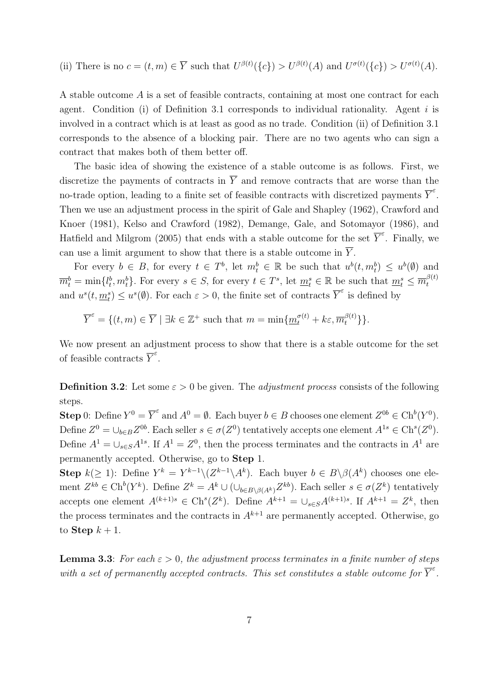(ii) There is no 
$$
c = (t, m) \in \overline{Y}
$$
 such that  $U^{\beta(t)}(\{c\}) > U^{\beta(t)}(A)$  and  $U^{\sigma(t)}(\{c\}) > U^{\sigma(t)}(A)$ .

A stable outcome A is a set of feasible contracts, containing at most one contract for each agent. Condition (i) of Definition 3.1 corresponds to individual rationality. Agent  $i$  is involved in a contract which is at least as good as no trade. Condition (ii) of Definition 3.1 corresponds to the absence of a blocking pair. There are no two agents who can sign a contract that makes both of them better off.

The basic idea of showing the existence of a stable outcome is as follows. First, we discretize the payments of contracts in  $\overline{Y}$  and remove contracts that are worse than the no-trade option, leading to a finite set of feasible contracts with discretized payments  $\overline{Y}^{\varepsilon}$ . Then we use an adjustment process in the spirit of Gale and Shapley (1962), Crawford and Knoer (1981), Kelso and Crawford (1982), Demange, Gale, and Sotomayor (1986), and Hatfield and Milgrom (2005) that ends with a stable outcome for the set  $\overline{Y}^{\varepsilon}$ . Finally, we can use a limit argument to show that there is a stable outcome in  $\overline{Y}$ .

For every  $b \in B$ , for every  $t \in T^b$ , let  $m_t^b \in \mathbb{R}$  be such that  $u^b(t, m_t^b) \leq u^b(\emptyset)$  and  $\overline{m}_t^b = \min\{l_t^b, m_t^b\}$ . For every  $s \in S$ , for every  $t \in T^s$ , let  $\underline{m}_t^s \in \mathbb{R}$  be such that  $\underline{m}_t^s \leq \overline{m}_t^{\beta(t)}$ t and  $u^s(t, \underline{m}_t^s) \leq u^s(\emptyset)$ . For each  $\varepsilon > 0$ , the finite set of contracts  $\overline{Y}^{\varepsilon}$  is defined by

$$
\overline{Y}^{\varepsilon} = \{ (t, m) \in \overline{Y} \mid \exists k \in \mathbb{Z}^+ \text{ such that } m = \min \{ \underline{m}_t^{\sigma(t)} + k \varepsilon, \overline{m}_t^{\beta(t)} \} \}.
$$

We now present an adjustment process to show that there is a stable outcome for the set of feasible contracts  $\overline{Y}^{\varepsilon}$ .

**Definition 3.2:** Let some  $\varepsilon > 0$  be given. The *adjustment process* consists of the following steps.

**Step** 0: Define  $Y^0 = \overline{Y}^{\varepsilon}$  and  $A^0 = \emptyset$ . Each buyer  $b \in B$  chooses one element  $Z^{0b} \in \mathrm{Ch}^b(Y^0)$ . Define  $Z^0 = \bigcup_{b \in B} Z^{0b}$ . Each seller  $s \in \sigma(Z^0)$  tentatively accepts one element  $A^{1s} \in \text{Ch}^s(Z^0)$ . Define  $A^1 = \bigcup_{s \in S} A^{1s}$ . If  $A^1 = Z^0$ , then the process terminates and the contracts in  $A^1$  are permanently accepted. Otherwise, go to Step 1.

**Step**  $k(\geq 1)$ : Define  $Y^k = Y^{k-1} \setminus (Z^{k-1} \setminus A^k)$ . Each buyer  $b \in B \setminus \beta(A^k)$  chooses one element  $Z^{kb} \in \text{Ch}^b(Y^k)$ . Define  $Z^k = A^k \cup (\cup_{b \in B \setminus \beta(A^k)} Z^{kb})$ . Each seller  $s \in \sigma(Z^k)$  tentatively accepts one element  $A^{(k+1)s} \in \text{Ch}^s(Z^k)$ . Define  $A^{k+1} = \bigcup_{s \in S} A^{(k+1)s}$ . If  $A^{k+1} = Z^k$ , then the process terminates and the contracts in  $A^{k+1}$  are permanently accepted. Otherwise, go to Step  $k+1$ .

**Lemma 3.3:** For each  $\varepsilon > 0$ , the adjustment process terminates in a finite number of steps with a set of permanently accepted contracts. This set constitutes a stable outcome for  $\overline{Y}^{\varepsilon}$ .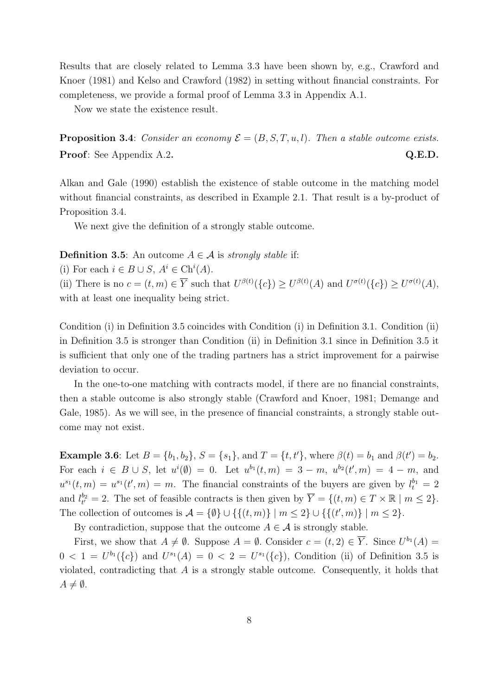Results that are closely related to Lemma 3.3 have been shown by, e.g., Crawford and Knoer (1981) and Kelso and Crawford (1982) in setting without financial constraints. For completeness, we provide a formal proof of Lemma 3.3 in Appendix A.1.

Now we state the existence result.

**Proposition 3.4:** Consider an economy  $\mathcal{E} = (B, S, T, u, l)$ . Then a stable outcome exists. **Proof**: See Appendix A.2. Q.E.D.

Alkan and Gale (1990) establish the existence of stable outcome in the matching model without financial constraints, as described in Example 2.1. That result is a by-product of Proposition 3.4.

We next give the definition of a strongly stable outcome.

**Definition 3.5:** An outcome  $A \in \mathcal{A}$  is *strongly stable* if:

(i) For each  $i \in B \cup S$ ,  $A^i \in \text{Ch}^i(A)$ .

(ii) There is no  $c = (t, m) \in \overline{Y}$  such that  $U^{\beta(t)}(\lbrace c \rbrace) \geq U^{\beta(t)}(A)$  and  $U^{\sigma(t)}(\lbrace c \rbrace) \geq U^{\sigma(t)}(A)$ , with at least one inequality being strict.

Condition (i) in Definition 3.5 coincides with Condition (i) in Definition 3.1. Condition (ii) in Definition 3.5 is stronger than Condition (ii) in Definition 3.1 since in Definition 3.5 it is sufficient that only one of the trading partners has a strict improvement for a pairwise deviation to occur.

In the one-to-one matching with contracts model, if there are no financial constraints, then a stable outcome is also strongly stable (Crawford and Knoer, 1981; Demange and Gale, 1985). As we will see, in the presence of financial constraints, a strongly stable outcome may not exist.

**Example 3.6**: Let  $B = \{b_1, b_2\}$ ,  $S = \{s_1\}$ , and  $T = \{t, t'\}$ , where  $\beta(t) = b_1$  and  $\beta(t') = b_2$ . For each  $i \in B \cup S$ , let  $u^{i}(\emptyset) = 0$ . Let  $u^{b_1}(t,m) = 3 - m$ ,  $u^{b_2}(t',m) = 4 - m$ , and  $u^{s_1}(t,m) = u^{s_1}(t',m) = m$ . The financial constraints of the buyers are given by  $l_t^{b_1} = 2$ and  $l_{t'}^{b_2} = 2$ . The set of feasible contracts is then given by  $\overline{Y} = \{(t, m) \in T \times \mathbb{R} \mid m \leq 2\}$ . The collection of outcomes is  $\mathcal{A} = \{\emptyset\} \cup \{\{(t,m)\} \mid m \leq 2\} \cup \{\{(t',m)\} \mid m \leq 2\}.$ 

By contradiction, suppose that the outcome  $A \in \mathcal{A}$  is strongly stable.

First, we show that  $A \neq \emptyset$ . Suppose  $A = \emptyset$ . Consider  $c = (t, 2) \in \overline{Y}$ . Since  $U^{b_1}(A) =$  $0 < 1 = U^{b_1}(\{c\})$  and  $U^{s_1}(A) = 0 < 2 = U^{s_1}(\{c\})$ , Condition (ii) of Definition 3.5 is violated, contradicting that  $A$  is a strongly stable outcome. Consequently, it holds that  $A \neq \emptyset$ .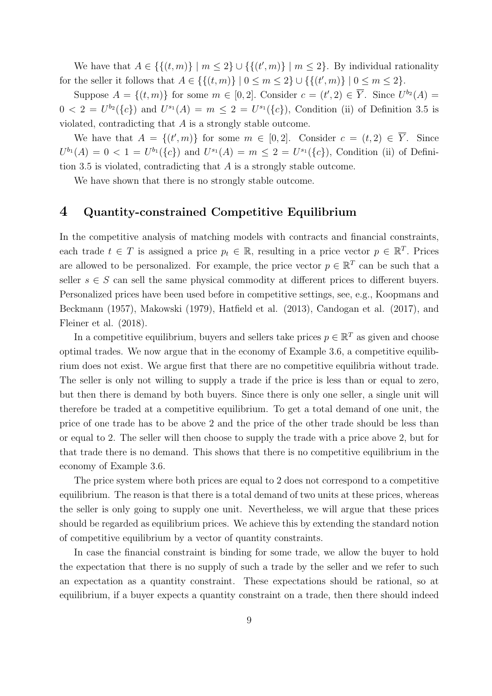We have that  $A \in \{ \{(t,m)\} \mid m \leq 2 \} \cup \{ \{(t',m)\} \mid m \leq 2 \}.$  By individual rationality for the seller it follows that  $A \in \{ \{(t, m)\} \mid 0 \le m \le 2 \} \cup \{ \{(t', m)\} \mid 0 \le m \le 2 \}.$ 

Suppose  $A = \{(t, m)\}\$ for some  $m \in [0, 2]$ . Consider  $c = (t', 2) \in \overline{Y}$ . Since  $U^{b_2}(A) =$  $0 < 2 = U^{b_2}(\{c\})$  and  $U^{s_1}(A) = m \leq 2 = U^{s_1}(\{c\})$ , Condition (ii) of Definition 3.5 is violated, contradicting that A is a strongly stable outcome.

We have that  $A = \{(t', m)\}\$ for some  $m \in [0, 2]$ . Consider  $c = (t, 2) \in \overline{Y}$ . Since  $U^{b_1}(A) = 0 < 1 = U^{b_1}(\{c\})$  and  $U^{s_1}(A) = m \leq 2 = U^{s_1}(\{c\})$ , Condition (ii) of Definition 3.5 is violated, contradicting that A is a strongly stable outcome.

We have shown that there is no strongly stable outcome.

## 4 Quantity-constrained Competitive Equilibrium

In the competitive analysis of matching models with contracts and financial constraints, each trade  $t \in T$  is assigned a price  $p_t \in \mathbb{R}$ , resulting in a price vector  $p \in \mathbb{R}^T$ . Prices are allowed to be personalized. For example, the price vector  $p \in \mathbb{R}^T$  can be such that a seller  $s \in S$  can sell the same physical commodity at different prices to different buyers. Personalized prices have been used before in competitive settings, see, e.g., Koopmans and Beckmann (1957), Makowski (1979), Hatfield et al. (2013), Candogan et al. (2017), and Fleiner et al. (2018).

In a competitive equilibrium, buyers and sellers take prices  $p \in \mathbb{R}^T$  as given and choose optimal trades. We now argue that in the economy of Example 3.6, a competitive equilibrium does not exist. We argue first that there are no competitive equilibria without trade. The seller is only not willing to supply a trade if the price is less than or equal to zero, but then there is demand by both buyers. Since there is only one seller, a single unit will therefore be traded at a competitive equilibrium. To get a total demand of one unit, the price of one trade has to be above 2 and the price of the other trade should be less than or equal to 2. The seller will then choose to supply the trade with a price above 2, but for that trade there is no demand. This shows that there is no competitive equilibrium in the economy of Example 3.6.

The price system where both prices are equal to 2 does not correspond to a competitive equilibrium. The reason is that there is a total demand of two units at these prices, whereas the seller is only going to supply one unit. Nevertheless, we will argue that these prices should be regarded as equilibrium prices. We achieve this by extending the standard notion of competitive equilibrium by a vector of quantity constraints.

In case the financial constraint is binding for some trade, we allow the buyer to hold the expectation that there is no supply of such a trade by the seller and we refer to such an expectation as a quantity constraint. These expectations should be rational, so at equilibrium, if a buyer expects a quantity constraint on a trade, then there should indeed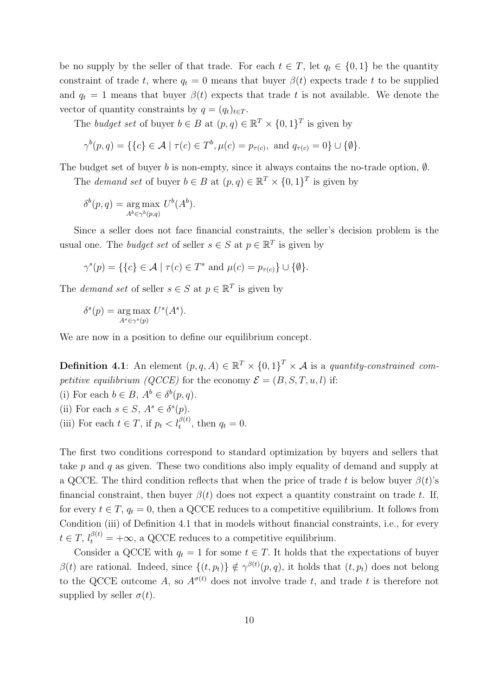be no supply by the seller of that trade. For each  $t \in T$ , let  $q_t \in \{0,1\}$  be the quantity constraint of trade t, where  $q_t = 0$  means that buyer  $\beta(t)$  expects trade t to be supplied and  $q_t = 1$  means that buyer  $\beta(t)$  expects that trade t is not available. We denote the vector of quantity constraints by  $q = (q_t)_{t \in T}$ .

The budget set of buyer  $b \in B$  at  $(p, q) \in \mathbb{R}^T \times \{0, 1\}^T$  is given by

$$
\gamma^{b}(p,q) = \{ \{c\} \in \mathcal{A} \mid \tau(c) \in T^{b}, \mu(c) = p_{\tau(c)}, \text{ and } q_{\tau(c)} = 0 \} \cup \{ \emptyset \}.
$$

The budget set of buyer b is non-empty, since it always contains the no-trade option,  $\emptyset$ .

The *demand set* of buyer  $b \in B$  at  $(p, q) \in \mathbb{R}^T \times \{0, 1\}^T$  is given by

$$
\delta^{b}(p,q) = \underset{A^{b} \in \gamma^{b}(p,q)}{\arg \max} U^{b}(A^{b}).
$$

Since a seller does not face financial constraints, the seller's decision problem is the usual one. The *budget set* of seller  $s \in S$  at  $p \in \mathbb{R}^T$  is given by

$$
\gamma^{s}(p) = \{ \{c\} \in \mathcal{A} \mid \tau(c) \in T^{s} \text{ and } \mu(c) = p_{\tau(c)} \} \cup \{ \emptyset \}.
$$

The *demand set* of seller  $s \in S$  at  $p \in \mathbb{R}^T$  is given by

$$
\delta^s(p) = \underset{A^s \in \gamma^s(p)}{\text{arg}\max} \ U^s(A^s).
$$

We are now in a position to define our equilibrium concept.

**Definition 4.1**: An element  $(p, q, A) \in \mathbb{R}^T \times \{0, 1\}^T \times \mathcal{A}$  is a quantity-constrained competitive equilibrium (QCCE) for the economy  $\mathcal{E} = (B, S, T, u, l)$  if:

(i) For each  $b \in B$ ,  $A^b \in \delta^b(p,q)$ .

(ii) For each 
$$
s \in S
$$
,  $A^s \in \delta^s(p)$ .

(iii) For each  $t \in T$ , if  $p_t < l_t^{\beta(t)}$ , then  $q_t = 0$ .

The first two conditions correspond to standard optimization by buyers and sellers that take p and q as given. These two conditions also imply equality of demand and supply at a QCCE. The third condition reflects that when the price of trade t is below buyer  $\beta(t)$ 's financial constraint, then buyer  $\beta(t)$  does not expect a quantity constraint on trade t. If, for every  $t \in T$ ,  $q_t = 0$ , then a QCCE reduces to a competitive equilibrium. It follows from Condition (iii) of Definition 4.1 that in models without financial constraints, i.e., for every  $t \in T$ ,  $l_t^{\beta(t)} = +\infty$ , a QCCE reduces to a competitive equilibrium.

Consider a QCCE with  $q_t = 1$  for some  $t \in T$ . It holds that the expectations of buyer  $\beta(t)$  are rational. Indeed, since  $\{(t, p_t)\}\notin \gamma^{\beta(t)}(p, q)$ , it holds that  $(t, p_t)$  does not belong to the QCCE outcome A, so  $A^{\sigma(t)}$  does not involve trade t, and trade t is therefore not supplied by seller  $\sigma(t)$ .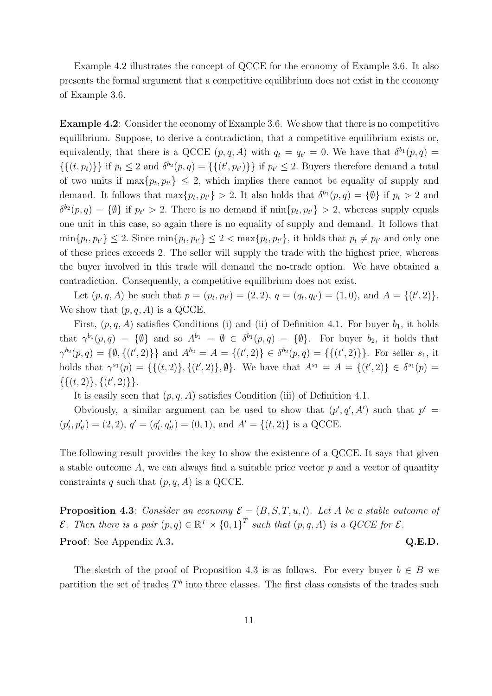Example 4.2 illustrates the concept of QCCE for the economy of Example 3.6. It also presents the formal argument that a competitive equilibrium does not exist in the economy of Example 3.6.

Example 4.2: Consider the economy of Example 3.6. We show that there is no competitive equilibrium. Suppose, to derive a contradiction, that a competitive equilibrium exists or, equivalently, that there is a QCCE  $(p, q, A)$  with  $q_t = q_{t'} = 0$ . We have that  $\delta^{b_1}(p, q) =$  $\{\{(t,p_t)\}\}\$ if  $p_t \leq 2$  and  $\delta^{b_2}(p,q) = \{\{(t',p_{t'})\}\}\$ if  $p_{t'} \leq 2$ . Buyers therefore demand a total of two units if  $\max\{p_t, p_{t'}\} \leq 2$ , which implies there cannot be equality of supply and demand. It follows that  $\max\{p_t, p_{t'}\} > 2$ . It also holds that  $\delta^{b_1}(p, q) = \{\emptyset\}$  if  $p_t > 2$  and  $\delta^{b_2}(p,q) = \{\emptyset\}$  if  $p_{t'} > 2$ . There is no demand if  $\min\{p_t, p_{t'}\} > 2$ , whereas supply equals one unit in this case, so again there is no equality of supply and demand. It follows that  $\min\{p_t, p_{t'}\} \leq 2$ . Since  $\min\{p_t, p_{t'}\} \leq 2 < \max\{p_t, p_{t'}\}$ , it holds that  $p_t \neq p_{t'}$  and only one of these prices exceeds 2. The seller will supply the trade with the highest price, whereas the buyer involved in this trade will demand the no-trade option. We have obtained a contradiction. Consequently, a competitive equilibrium does not exist.

Let  $(p, q, A)$  be such that  $p = (p_t, p_{t'}) = (2, 2), q = (q_t, q_{t'}) = (1, 0),$  and  $A = \{(t', 2)\}.$ We show that  $(p, q, A)$  is a QCCE.

First,  $(p, q, A)$  satisfies Conditions (i) and (ii) of Definition 4.1. For buyer  $b_1$ , it holds that  $\gamma^{b_1}(p,q) = \{\emptyset\}$  and so  $A^{b_1} = \emptyset \in \delta^{b_1}(p,q) = \{\emptyset\}$ . For buyer  $b_2$ , it holds that  $\gamma^{b_2}(p,q) = \{\emptyset, \{(t',2)\}\}\$ and  $A^{b_2} = A = \{(t',2)\}\in \delta^{b_2}(p,q) = \{\{(t',2)\}\}\.$  For seller  $s_1$ , it holds that  $\gamma^{s_1}(p) = \{\{(t, 2)\}, \{(t', 2)\}, \emptyset\}.$  We have that  $A^{s_1} = A = \{(t', 2)\} \in \delta^{s_1}(p)$  $\{\{(t,2)\},\{(t',2)\}\}.$ 

It is easily seen that  $(p, q, A)$  satisfies Condition (iii) of Definition 4.1.

Obviously, a similar argument can be used to show that  $(p', q', A')$  such that  $p' =$  $(p'_t, p'_{t'}) = (2, 2), q' = (q'_t, q'_{t'}) = (0, 1), \text{ and } A' = \{(t, 2)\}\text{ is a QCCE.}$ 

The following result provides the key to show the existence of a QCCE. It says that given a stable outcome A, we can always find a suitable price vector  $p$  and a vector of quantity constraints q such that  $(p, q, A)$  is a QCCE.

**Proposition 4.3:** Consider an economy  $\mathcal{E} = (B, S, T, u, l)$ . Let A be a stable outcome of E. Then there is a pair  $(p,q) \in \mathbb{R}^T \times \{0,1\}^T$  such that  $(p,q,A)$  is a QCCE for  $\mathcal{E}$ . Proof: See Appendix A.3. Q.E.D.

The sketch of the proof of Proposition 4.3 is as follows. For every buyer  $b \in B$  we partition the set of trades  $T<sup>b</sup>$  into three classes. The first class consists of the trades such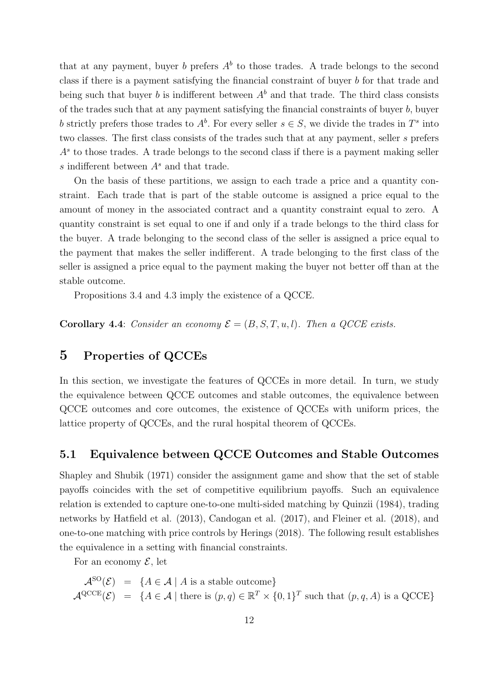that at any payment, buyer b prefers  $A^b$  to those trades. A trade belongs to the second class if there is a payment satisfying the financial constraint of buyer b for that trade and being such that buyer b is indifferent between  $A<sup>b</sup>$  and that trade. The third class consists of the trades such that at any payment satisfying the financial constraints of buyer  $b$ , buyer b strictly prefers those trades to  $A^b$ . For every seller  $s \in S$ , we divide the trades in  $T^s$  into two classes. The first class consists of the trades such that at any payment, seller s prefers  $A<sup>s</sup>$  to those trades. A trade belongs to the second class if there is a payment making seller s indifferent between  $A<sup>s</sup>$  and that trade.

On the basis of these partitions, we assign to each trade a price and a quantity constraint. Each trade that is part of the stable outcome is assigned a price equal to the amount of money in the associated contract and a quantity constraint equal to zero. A quantity constraint is set equal to one if and only if a trade belongs to the third class for the buyer. A trade belonging to the second class of the seller is assigned a price equal to the payment that makes the seller indifferent. A trade belonging to the first class of the seller is assigned a price equal to the payment making the buyer not better off than at the stable outcome.

Propositions 3.4 and 4.3 imply the existence of a QCCE.

**Corollary 4.4:** Consider an economy  $\mathcal{E} = (B, S, T, u, l)$ . Then a QCCE exists.

## 5 Properties of QCCEs

In this section, we investigate the features of QCCEs in more detail. In turn, we study the equivalence between QCCE outcomes and stable outcomes, the equivalence between QCCE outcomes and core outcomes, the existence of QCCEs with uniform prices, the lattice property of QCCEs, and the rural hospital theorem of QCCEs.

## 5.1 Equivalence between QCCE Outcomes and Stable Outcomes

Shapley and Shubik (1971) consider the assignment game and show that the set of stable payoffs coincides with the set of competitive equilibrium payoffs. Such an equivalence relation is extended to capture one-to-one multi-sided matching by Quinzii (1984), trading networks by Hatfield et al. (2013), Candogan et al. (2017), and Fleiner et al. (2018), and one-to-one matching with price controls by Herings (2018). The following result establishes the equivalence in a setting with financial constraints.

For an economy  $\mathcal{E}$ , let

 $\mathcal{A}^{SO}(\mathcal{E}) = \{A \in \mathcal{A} \mid A \text{ is a stable outcome}\}\$  $\mathcal{A}^{\mathrm{QCCE}}(\mathcal{E}) = \{A \in \mathcal{A} \mid \text{there is } (p,q) \in \mathbb{R}^T \times \{0,1\}^T \text{ such that } (p,q,A) \text{ is a QCCE}\}\$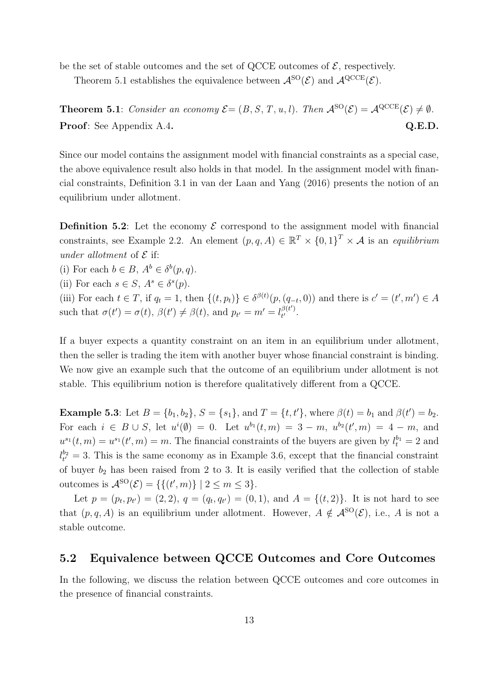be the set of stable outcomes and the set of QCCE outcomes of  $\mathcal{E}$ , respectively.

Theorem 5.1 establishes the equivalence between  $\mathcal{A}^{\rm SO}(\mathcal{E})$  and  $\mathcal{A}^{\rm QCE}(\mathcal{E})$ .

**Theorem 5.1**: Consider an economy  $\mathcal{E} = (B, S, T, u, l)$ . Then  $\mathcal{A}^{SO}(\mathcal{E}) = \mathcal{A}^{QCCE}(\mathcal{E}) \neq \emptyset$ . Proof: See Appendix A.4. Q.E.D.

Since our model contains the assignment model with financial constraints as a special case, the above equivalence result also holds in that model. In the assignment model with financial constraints, Definition 3.1 in van der Laan and Yang (2016) presents the notion of an equilibrium under allotment.

**Definition 5.2:** Let the economy  $\mathcal{E}$  correspond to the assignment model with financial constraints, see Example 2.2. An element  $(p,q,A) \in \mathbb{R}^T \times \{0,1\}^T \times \mathcal{A}$  is an equilibrium under allotment of  $\mathcal E$  if:

(i) For each  $b \in B$ ,  $A^b \in \delta^b(p,q)$ .

(ii) For each  $s \in S$ ,  $A^s \in \delta^s(p)$ .

(iii) For each  $t \in T$ , if  $q_t = 1$ , then  $\{(t, p_t)\}\in \delta^{\beta(t)}(p, (q_{-t}, 0))$  and there is  $c' = (t', m') \in A$ such that  $\sigma(t') = \sigma(t)$ ,  $\beta(t') \neq \beta(t)$ , and  $p_{t'} = m' = l_{t'}^{\beta(t')}$  $\frac{\rho(t)}{t'}$ .

If a buyer expects a quantity constraint on an item in an equilibrium under allotment, then the seller is trading the item with another buyer whose financial constraint is binding. We now give an example such that the outcome of an equilibrium under allotment is not stable. This equilibrium notion is therefore qualitatively different from a QCCE.

**Example 5.3**: Let  $B = \{b_1, b_2\}$ ,  $S = \{s_1\}$ , and  $T = \{t, t'\}$ , where  $\beta(t) = b_1$  and  $\beta(t') = b_2$ . For each  $i \in B \cup S$ , let  $u^{i}(\emptyset) = 0$ . Let  $u^{b_1}(t,m) = 3 - m$ ,  $u^{b_2}(t',m) = 4 - m$ , and  $u^{s_1}(t,m) = u^{s_1}(t',m) = m$ . The financial constraints of the buyers are given by  $l_t^{b_1} = 2$  and  $l_{t'}^{b_2} = 3$ . This is the same economy as in Example 3.6, except that the financial constraint of buyer  $b_2$  has been raised from 2 to 3. It is easily verified that the collection of stable outcomes is  $\mathcal{A}^{\text{SO}}(\mathcal{E}) = \{ \{ (t', m) \} \mid 2 \leq m \leq 3 \}.$ 

Let  $p = (p_t, p_{t'}) = (2, 2), q = (q_t, q_{t'}) = (0, 1),$  and  $A = \{(t, 2)\}.$  It is not hard to see that  $(p, q, A)$  is an equilibrium under allotment. However,  $A \notin \mathcal{A}^{\rm SO}(\mathcal{E})$ , i.e., A is not a stable outcome.

## 5.2 Equivalence between QCCE Outcomes and Core Outcomes

In the following, we discuss the relation between QCCE outcomes and core outcomes in the presence of financial constraints.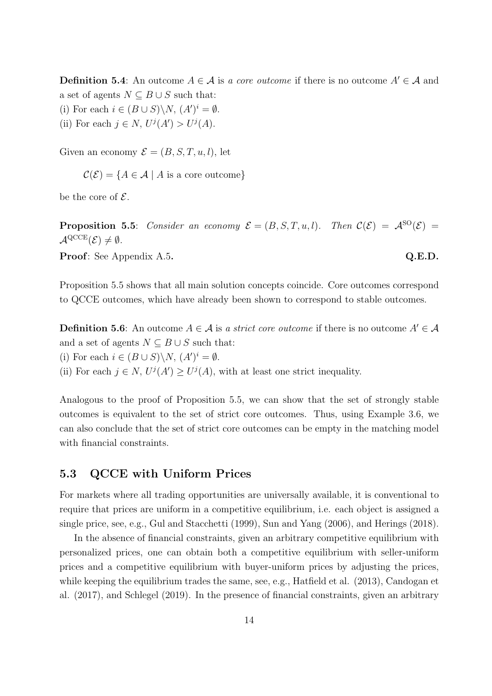**Definition 5.4:** An outcome  $A \in \mathcal{A}$  is a core outcome if there is no outcome  $A' \in \mathcal{A}$  and a set of agents  $N \subseteq B \cup S$  such that:

- (i) For each  $i \in (B \cup S) \backslash N$ ,  $(A')^i = \emptyset$ .
- (ii) For each  $j \in N$ ,  $U^j(A') > U^j(A)$ .

Given an economy  $\mathcal{E} = (B, S, T, u, l)$ , let

 $\mathcal{C}(\mathcal{E}) = \{A \in \mathcal{A} \mid A \text{ is a core outcome}\}\$ 

be the core of  $\mathcal{E}$ .

**Proposition 5.5:** Consider an economy  $\mathcal{E} = (B, S, T, u, l)$ . Then  $\mathcal{C}(\mathcal{E}) = \mathcal{A}^{\text{SO}}(\mathcal{E}) =$  $\mathcal{A}^{\mathrm{QCCE}}(\mathcal{E})\neq\emptyset$ .

**Proof:** See Appendix A.5. Q.E.D.

Proposition 5.5 shows that all main solution concepts coincide. Core outcomes correspond to QCCE outcomes, which have already been shown to correspond to stable outcomes.

**Definition 5.6:** An outcome  $A \in \mathcal{A}$  is a strict core outcome if there is no outcome  $A' \in \mathcal{A}$ and a set of agents  $N \subseteq B \cup S$  such that:

(i) For each  $i \in (B \cup S) \backslash N$ ,  $(A')^i = \emptyset$ .

(ii) For each  $j \in N$ ,  $U^{j}(A') \geq U^{j}(A)$ , with at least one strict inequality.

Analogous to the proof of Proposition 5.5, we can show that the set of strongly stable outcomes is equivalent to the set of strict core outcomes. Thus, using Example 3.6, we can also conclude that the set of strict core outcomes can be empty in the matching model with financial constraints.

## 5.3 QCCE with Uniform Prices

For markets where all trading opportunities are universally available, it is conventional to require that prices are uniform in a competitive equilibrium, i.e. each object is assigned a single price, see, e.g., Gul and Stacchetti (1999), Sun and Yang (2006), and Herings (2018).

In the absence of financial constraints, given an arbitrary competitive equilibrium with personalized prices, one can obtain both a competitive equilibrium with seller-uniform prices and a competitive equilibrium with buyer-uniform prices by adjusting the prices, while keeping the equilibrium trades the same, see, e.g., Hatfield et al. (2013), Candogan et al. (2017), and Schlegel (2019). In the presence of financial constraints, given an arbitrary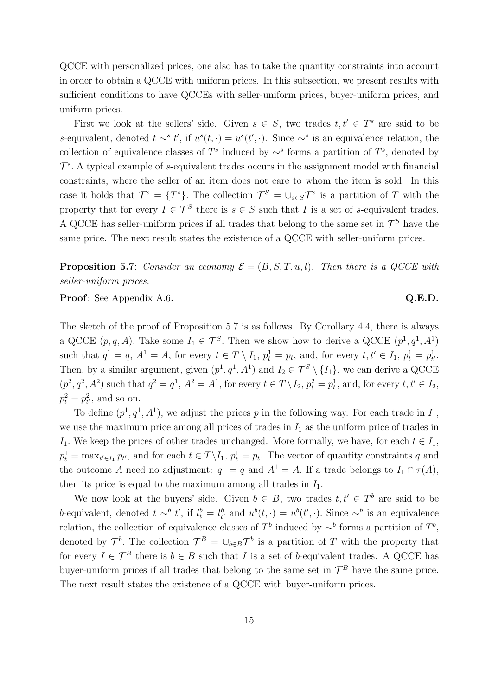QCCE with personalized prices, one also has to take the quantity constraints into account in order to obtain a QCCE with uniform prices. In this subsection, we present results with sufficient conditions to have QCCEs with seller-uniform prices, buyer-uniform prices, and uniform prices.

First we look at the sellers' side. Given  $s \in S$ , two trades  $t, t' \in T^s$  are said to be s-equivalent, denoted  $t \sim^s t'$ , if  $u^s(t, \cdot) = u^s(t', \cdot)$ . Since ∼<sup>s</sup> is an equivalence relation, the collection of equivalence classes of  $T^s$  induced by ∼<sup>s</sup> forms a partition of  $T^s$ , denoted by  $\mathcal{T}^s$ . A typical example of s-equivalent trades occurs in the assignment model with financial constraints, where the seller of an item does not care to whom the item is sold. In this case it holds that  $\mathcal{T}^s = \{T^s\}$ . The collection  $\mathcal{T}^S = \cup_{s \in S} \mathcal{T}^s$  is a partition of T with the property that for every  $I \in \mathcal{T}^S$  there is  $s \in S$  such that I is a set of s-equivalent trades. A QCCE has seller-uniform prices if all trades that belong to the same set in  $\mathcal{T}^S$  have the same price. The next result states the existence of a QCCE with seller-uniform prices.

**Proposition 5.7**: Consider an economy  $\mathcal{E} = (B, S, T, u, l)$ . Then there is a QCCE with seller-uniform prices.

Proof: See Appendix A.6. Q.E.D.

The sketch of the proof of Proposition 5.7 is as follows. By Corollary 4.4, there is always a QCCE  $(p, q, A)$ . Take some  $I_1 \in \mathcal{T}^S$ . Then we show how to derive a QCCE  $(p^1, q^1, A^1)$ such that  $q^1 = q$ ,  $A^1 = A$ , for every  $t \in T \setminus I_1$ ,  $p_t^1 = p_t$ , and, for every  $t, t' \in I_1$ ,  $p_t^1 = p_t^1$ . Then, by a similar argument, given  $(p^1, q^1, A^1)$  and  $I_2 \in \mathcal{T}^S \setminus \{I_1\}$ , we can derive a QCCE  $(p^2, q^2, A^2)$  such that  $q^2 = q^1, A^2 = A^1$ , for every  $t \in T \setminus I_2$ ,  $p_t^2 = p_t^1$ , and, for every  $t, t' \in I_2$ ,  $p_t^2 = p_{t'}^2$ , and so on.

To define  $(p^1, q^1, A^1)$ , we adjust the prices p in the following way. For each trade in  $I_1$ , we use the maximum price among all prices of trades in  $I_1$  as the uniform price of trades in I<sub>1</sub>. We keep the prices of other trades unchanged. More formally, we have, for each  $t \in I_1$ ,  $p_t^1 = \max_{t' \in I_1} p_{t'}$ , and for each  $t \in T \backslash I_1$ ,  $p_t^1 = p_t$ . The vector of quantity constraints q and the outcome A need no adjustment:  $q^1 = q$  and  $A^1 = A$ . If a trade belongs to  $I_1 \cap \tau(A)$ , then its price is equal to the maximum among all trades in  $I_1$ .

We now look at the buyers' side. Given  $b \in B$ , two trades  $t, t' \in T^b$  are said to be b-equivalent, denoted  $t \sim^b t'$ , if  $l_t^b = l_{t'}^b$  and  $u^b(t, \cdot) = u^b(t', \cdot)$ . Since  $\sim^b$  is an equivalence relation, the collection of equivalence classes of  $T^b$  induced by ∼<sup>b</sup> forms a partition of  $T^b$ , denoted by  $\mathcal{T}^b$ . The collection  $\mathcal{T}^B = \cup_{b \in B} \mathcal{T}^b$  is a partition of T with the property that for every  $I \in \mathcal{T}^B$  there is  $b \in B$  such that I is a set of b-equivalent trades. A QCCE has buyer-uniform prices if all trades that belong to the same set in  $\mathcal{T}^B$  have the same price. The next result states the existence of a QCCE with buyer-uniform prices.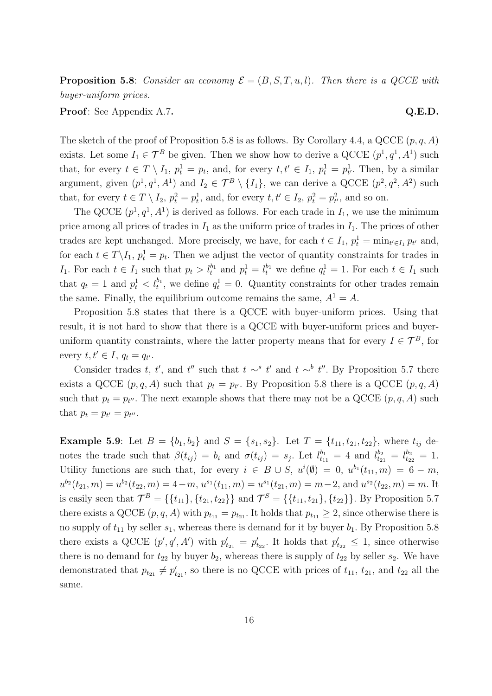**Proposition 5.8:** Consider an economy  $\mathcal{E} = (B, S, T, u, l)$ . Then there is a QCCE with buyer-uniform prices.

**Proof:** See Appendix A.7. Q.E.D.

The sketch of the proof of Proposition 5.8 is as follows. By Corollary 4.4, a QCCE  $(p, q, A)$ exists. Let some  $I_1 \in \mathcal{T}^B$  be given. Then we show how to derive a QCCE  $(p^1, q^1, A^1)$  such that, for every  $t \in T \setminus I_1$ ,  $p_t^1 = p_t$ , and, for every  $t, t' \in I_1$ ,  $p_t^1 = p_{t'}^1$ . Then, by a similar argument, given  $(p^1, q^1, A^1)$  and  $I_2 \in \mathcal{T}^B \setminus \{I_1\}$ , we can derive a QCCE  $(p^2, q^2, A^2)$  such that, for every  $t \in T \setminus I_2$ ,  $p_t^2 = p_t^1$ , and, for every  $t, t' \in I_2$ ,  $p_t^2 = p_{t'}^2$ , and so on.

The QCCE  $(p^1, q^1, A^1)$  is derived as follows. For each trade in  $I_1$ , we use the minimum price among all prices of trades in  $I_1$  as the uniform price of trades in  $I_1$ . The prices of other trades are kept unchanged. More precisely, we have, for each  $t \in I_1$ ,  $p_t^1 = \min_{t' \in I_1} p_{t'}$  and, for each  $t \in T \backslash I_1$ ,  $p_t^1 = p_t$ . Then we adjust the vector of quantity constraints for trades in I<sub>1</sub>. For each  $t \in I_1$  such that  $p_t > l_t^{b_1}$  and  $p_t^1 = l_t^{b_1}$  we define  $q_t^1 = 1$ . For each  $t \in I_1$  such that  $q_t = 1$  and  $p_t^1 < l_t^{b_1}$ , we define  $q_t^1 = 0$ . Quantity constraints for other trades remain the same. Finally, the equilibrium outcome remains the same,  $A^1 = A$ .

Proposition 5.8 states that there is a QCCE with buyer-uniform prices. Using that result, it is not hard to show that there is a QCCE with buyer-uniform prices and buyeruniform quantity constraints, where the latter property means that for every  $I \in \mathcal{T}^B$ , for every  $t, t' \in I$ ,  $q_t = q_{t'}$ .

Consider trades t, t', and t'' such that  $t \sim^s t'$  and  $t \sim^b t''$ . By Proposition 5.7 there exists a QCCE  $(p, q, A)$  such that  $p_t = p_{t'}$ . By Proposition 5.8 there is a QCCE  $(p, q, A)$ such that  $p_t = p_{t''}$ . The next example shows that there may not be a QCCE  $(p, q, A)$  such that  $p_t = p_{t'} = p_{t''}.$ 

**Example 5.9:** Let  $B = \{b_1, b_2\}$  and  $S = \{s_1, s_2\}$ . Let  $T = \{t_{11}, t_{21}, t_{22}\}$ , where  $t_{ij}$  denotes the trade such that  $\beta(t_{ij}) = b_i$  and  $\sigma(t_{ij}) = s_j$ . Let  $l_{t_{11}}^{b_1} = 4$  and  $l_{t_{21}}^{b_2} = l_{t_{22}}^{b_2} = 1$ . Utility functions are such that, for every  $i \in B \cup S$ ,  $u^{i}(\emptyset) = 0$ ,  $u^{b_1}(t_{11}, m) = 6 - m$ ,  $u^{b_2}(t_{21}, m) = u^{b_2}(t_{22}, m) = 4 - m$ ,  $u^{s_1}(t_{11}, m) = u^{s_1}(t_{21}, m) = m - 2$ , and  $u^{s_2}(t_{22}, m) = m$ . It is easily seen that  $\mathcal{T}^B = \{\{t_{11}\}, \{t_{21}, t_{22}\}\}\$  and  $\mathcal{T}^S = \{\{t_{11}, t_{21}\}, \{t_{22}\}\}\.$  By Proposition 5.7 there exists a QCCE  $(p, q, A)$  with  $p_{t_{11}} = p_{t_{21}}$ . It holds that  $p_{t_{11}} \geq 2$ , since otherwise there is no supply of  $t_{11}$  by seller  $s_1$ , whereas there is demand for it by buyer  $b_1$ . By Proposition 5.8 there exists a QCCE  $(p', q', A')$  with  $p'_{t_{21}} = p'_{t_{22}}$ . It holds that  $p'_{t_{22}} \leq 1$ , since otherwise there is no demand for  $t_{22}$  by buyer  $b_2$ , whereas there is supply of  $t_{22}$  by seller  $s_2$ . We have demonstrated that  $p_{t_{21}} \neq p'_{t_{21}}$ , so there is no QCCE with prices of  $t_{11}$ ,  $t_{21}$ , and  $t_{22}$  all the same.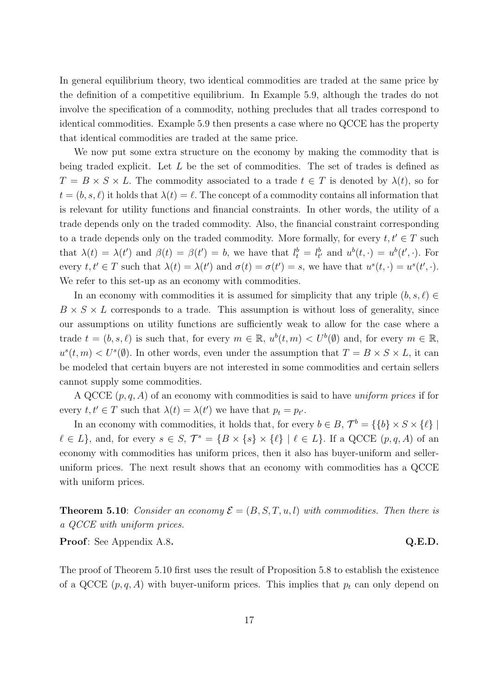In general equilibrium theory, two identical commodities are traded at the same price by the definition of a competitive equilibrium. In Example 5.9, although the trades do not involve the specification of a commodity, nothing precludes that all trades correspond to identical commodities. Example 5.9 then presents a case where no QCCE has the property that identical commodities are traded at the same price.

We now put some extra structure on the economy by making the commodity that is being traded explicit. Let L be the set of commodities. The set of trades is defined as  $T = B \times S \times L$ . The commodity associated to a trade  $t \in T$  is denoted by  $\lambda(t)$ , so for  $t = (b, s, \ell)$  it holds that  $\lambda(t) = \ell$ . The concept of a commodity contains all information that is relevant for utility functions and financial constraints. In other words, the utility of a trade depends only on the traded commodity. Also, the financial constraint corresponding to a trade depends only on the traded commodity. More formally, for every  $t, t' \in T$  such that  $\lambda(t) = \lambda(t')$  and  $\beta(t) = \beta(t') = b$ , we have that  $l_t^b = l_{t'}^b$  and  $u^b(t, \cdot) = u^b(t', \cdot)$ . For every  $t, t' \in T$  such that  $\lambda(t) = \lambda(t')$  and  $\sigma(t) = \sigma(t') = s$ , we have that  $u^s(t, \cdot) = u^s(t', \cdot)$ . We refer to this set-up as an economy with commodities.

In an economy with commodities it is assumed for simplicity that any triple  $(b, s, \ell) \in$  $B \times S \times L$  corresponds to a trade. This assumption is without loss of generality, since our assumptions on utility functions are sufficiently weak to allow for the case where a trade  $t = (b, s, \ell)$  is such that, for every  $m \in \mathbb{R}$ ,  $u^b(t, m) < U^b(\emptyset)$  and, for every  $m \in \mathbb{R}$ ,  $u^{s}(t, m) < U^{s}(\emptyset)$ . In other words, even under the assumption that  $T = B \times S \times L$ , it can be modeled that certain buyers are not interested in some commodities and certain sellers cannot supply some commodities.

A QCCE  $(p, q, A)$  of an economy with commodities is said to have *uniform prices* if for every  $t, t' \in T$  such that  $\lambda(t) = \lambda(t')$  we have that  $p_t = p_{t'}$ .

In an economy with commodities, it holds that, for every  $b \in B$ ,  $\mathcal{T}^b = \{\{b\} \times S \times \{\ell\} \mid \mathcal{T}^b = \{\{b\} \times S \times \{\ell\} \mid \mathcal{T}^b = \{\{b\} \times S \times \{\ell\} \mid \mathcal{T}^b = \{\{b\} \times S \times \{\ell\} \mid \mathcal{T}^b = \{\{b\} \times S \times \{\ell\} \mid \mathcal{T}^b = \{\{b\} \times S \times \{\ell\} \$  $\ell \in L$ , and, for every  $s \in S$ ,  $\mathcal{T}^s = \{B \times \{s\} \times \{\ell\} \mid \ell \in L\}$ . If a QCCE  $(p, q, A)$  of an economy with commodities has uniform prices, then it also has buyer-uniform and selleruniform prices. The next result shows that an economy with commodities has a QCCE with uniform prices.

**Theorem 5.10:** Consider an economy  $\mathcal{E} = (B, S, T, u, l)$  with commodities. Then there is a QCCE with uniform prices.

Proof: See Appendix A.8. Q.E.D.

The proof of Theorem 5.10 first uses the result of Proposition 5.8 to establish the existence of a QCCE  $(p, q, A)$  with buyer-uniform prices. This implies that  $p_t$  can only depend on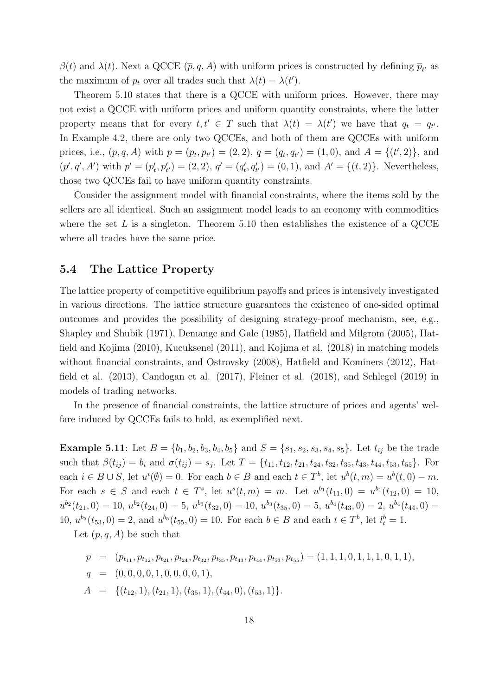$\beta(t)$  and  $\lambda(t)$ . Next a QCCE  $(\bar{p}, q, A)$  with uniform prices is constructed by defining  $\bar{p}_{t'}$  as the maximum of  $p_t$  over all trades such that  $\lambda(t) = \lambda(t')$ .

Theorem 5.10 states that there is a QCCE with uniform prices. However, there may not exist a QCCE with uniform prices and uniform quantity constraints, where the latter property means that for every  $t, t' \in T$  such that  $\lambda(t) = \lambda(t')$  we have that  $q_t = q_{t'}$ . In Example 4.2, there are only two QCCEs, and both of them are QCCEs with uniform prices, i.e.,  $(p, q, A)$  with  $p = (p_t, p_{t'}) = (2, 2), q = (q_t, q_{t'}) = (1, 0),$  and  $A = \{(t', 2)\}\$ , and  $(p', q', A')$  with  $p' = (p'_t, p'_{t'}) = (2, 2), q' = (q'_t, q'_{t'}) = (0, 1),$  and  $A' = \{(t, 2)\}\.$  Nevertheless, those two QCCEs fail to have uniform quantity constraints.

Consider the assignment model with financial constraints, where the items sold by the sellers are all identical. Such an assignment model leads to an economy with commodities where the set L is a singleton. Theorem 5.10 then establishes the existence of a QCCE where all trades have the same price.

## 5.4 The Lattice Property

The lattice property of competitive equilibrium payoffs and prices is intensively investigated in various directions. The lattice structure guarantees the existence of one-sided optimal outcomes and provides the possibility of designing strategy-proof mechanism, see, e.g., Shapley and Shubik (1971), Demange and Gale (1985), Hatfield and Milgrom (2005), Hatfield and Kojima (2010), Kucuksenel (2011), and Kojima et al. (2018) in matching models without financial constraints, and Ostrovsky (2008), Hatfield and Kominers (2012), Hatfield et al. (2013), Candogan et al. (2017), Fleiner et al. (2018), and Schlegel (2019) in models of trading networks.

In the presence of financial constraints, the lattice structure of prices and agents' welfare induced by QCCEs fails to hold, as exemplified next.

**Example 5.11**: Let  $B = \{b_1, b_2, b_3, b_4, b_5\}$  and  $S = \{s_1, s_2, s_3, s_4, s_5\}$ . Let  $t_{ij}$  be the trade such that  $\beta(t_{ij}) = b_i$  and  $\sigma(t_{ij}) = s_j$ . Let  $T = \{t_{11}, t_{12}, t_{21}, t_{24}, t_{32}, t_{35}, t_{43}, t_{44}, t_{53}, t_{55}\}$ . For each  $i \in B \cup S$ , let  $u^{i}(\emptyset) = 0$ . For each  $b \in B$  and each  $t \in T^{b}$ , let  $u^{b}(t, m) = u^{b}(t, 0) - m$ . For each  $s \in S$  and each  $t \in T^s$ , let  $u^s(t,m) = m$ . Let  $u^{b_1}(t_{11},0) = u^{b_1}(t_{12},0) = 10$ ,  $u^{b_2}(t_{21},0) = 10, u^{b_2}(t_{24},0) = 5, u^{b_3}(t_{32},0) = 10, u^{b_3}(t_{35},0) = 5, u^{b_4}(t_{43},0) = 2, u^{b_4}(t_{44},0) =$ 10,  $u^{b_5}(t_{53},0) = 2$ , and  $u^{b_5}(t_{55},0) = 10$ . For each  $b \in B$  and each  $t \in T^b$ , let  $l_t^b = 1$ .

Let  $(p, q, A)$  be such that

$$
p = (p_{t_{11}}, p_{t_{12}}, p_{t_{21}}, p_{t_{24}}, p_{t_{32}}, p_{t_{35}}, p_{t_{43}}, p_{t_{44}}, p_{t_{53}}, p_{t_{55}}) = (1, 1, 1, 0, 1, 1, 1, 0, 1, 1),
$$
  
\n
$$
q = (0, 0, 0, 0, 1, 0, 0, 0, 0, 1),
$$
  
\n
$$
A = \{(t_{12}, 1), (t_{21}, 1), (t_{35}, 1), (t_{44}, 0), (t_{53}, 1)\}.
$$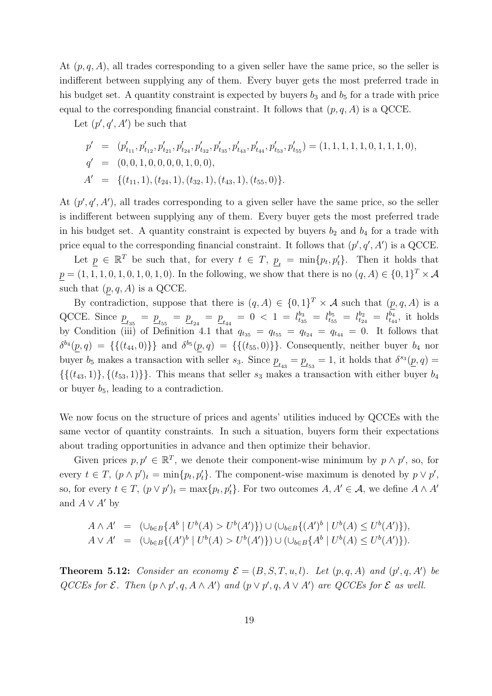At  $(p, q, A)$ , all trades corresponding to a given seller have the same price, so the seller is indifferent between supplying any of them. Every buyer gets the most preferred trade in his budget set. A quantity constraint is expected by buyers  $b_3$  and  $b_5$  for a trade with price equal to the corresponding financial constraint. It follows that  $(p, q, A)$  is a QCCE.

Let  $(p', q', A')$  be such that

$$
p' = (p'_{t_{11}}, p'_{t_{12}}, p'_{t_{21}}, p'_{t_{24}}, p'_{t_{32}}, p'_{t_{35}}, p'_{t_{43}}, p'_{t_{44}}, p'_{t_{53}}, p'_{t_{55}}) = (1, 1, 1, 1, 1, 1, 0, 1, 1, 1, 0),
$$
  
\n
$$
q' = (0, 0, 1, 0, 0, 0, 0, 1, 0, 0),
$$
  
\n
$$
A' = \{(t_{11}, 1), (t_{24}, 1), (t_{32}, 1), (t_{43}, 1), (t_{55}, 0)\}.
$$

At  $(p', q', A')$ , all trades corresponding to a given seller have the same price, so the seller is indifferent between supplying any of them. Every buyer gets the most preferred trade in his budget set. A quantity constraint is expected by buyers  $b_2$  and  $b_4$  for a trade with price equal to the corresponding financial constraint. It follows that  $(p', q', A')$  is a QCCE.

Let  $\underline{p} \in \mathbb{R}^T$  be such that, for every  $t \in T$ ,  $\underline{p}_t = \min\{p_t, p_t'\}$ . Then it holds that  $p = (1, 1, 1, 0, 1, 0, 1, 0, 1, 0)$ . In the following, we show that there is no  $(q, A) \in \{0, 1\}^T \times \mathcal{A}$ such that  $(p, q, A)$  is a QCCE.

By contradiction, suppose that there is  $(q, A) \in \{0, 1\}^T \times \mathcal{A}$  such that  $(p, q, A)$  is a QCCE. Since  $\underline{p}_{t_{35}} = \underline{p}_{t_{55}} = \underline{p}_{t_{24}} = \underline{p}_{t_{44}} = 0 < 1 = l_{t_{35}}^{b_3} = l_{t_{55}}^{b_5} = l_{t_{24}}^{b_2} = l_{t_{44}}^{b_4}$ , it holds by Condition (iii) of Definition 4.1 that  $q_{t_{35}} = q_{t_{55}} = q_{t_{24}} = q_{t_{44}} = 0$ . It follows that  $\delta^{b_4}(p,q) = \{ \{(t_{44}, 0)\}\}\$ and  $\delta^{b_5}(p,q) = \{ \{(t_{55}, 0)\}\}\.$  Consequently, neither buyer  $b_4$  nor buyer  $b_5$  makes a transaction with seller  $s_3$ . Since  $\underline{p}_{t_{43}} = \underline{p}_{t_{53}} = 1$ , it holds that  $\delta^{s_3}(\underline{p}, q) =$  $\{\{(t_{43}, 1)\}, \{(t_{53}, 1)\}\}.$  This means that seller  $s_3$  makes a transaction with either buyer  $b_4$ or buyer  $b_5$ , leading to a contradiction.

We now focus on the structure of prices and agents' utilities induced by QCCEs with the same vector of quantity constraints. In such a situation, buyers form their expectations about trading opportunities in advance and then optimize their behavior.

Given prices  $p, p' \in \mathbb{R}^T$ , we denote their component-wise minimum by  $p \wedge p'$ , so, for every  $t \in T$ ,  $(p \wedge p')_t = \min\{p_t, p'_t\}$ . The component-wise maximum is denoted by  $p \vee p'$ , so, for every  $t \in T$ ,  $(p \vee p')_t = \max\{p_t, p'_t\}$ . For two outcomes  $A, A' \in \mathcal{A}$ , we define  $A \wedge A'$ and  $A \vee A'$  by

$$
A \wedge A' = (\cup_{b \in B} \{A^b | U^b(A) > U^b(A')\}) \cup (\cup_{b \in B} \{(A')^b | U^b(A) \le U^b(A')\}),
$$
  
\n
$$
A \vee A' = (\cup_{b \in B} \{(A')^b | U^b(A) > U^b(A')\}) \cup (\cup_{b \in B} \{A^b | U^b(A) \le U^b(A')\}).
$$

**Theorem 5.12:** Consider an economy  $\mathcal{E} = (B, S, T, u, l)$ . Let  $(p, q, A)$  and  $(p', q, A')$  be QCCEs for  $\mathcal E$ . Then  $(p \wedge p', q, A \wedge A')$  and  $(p \vee p', q, A \vee A')$  are QCCEs for  $\mathcal E$  as well.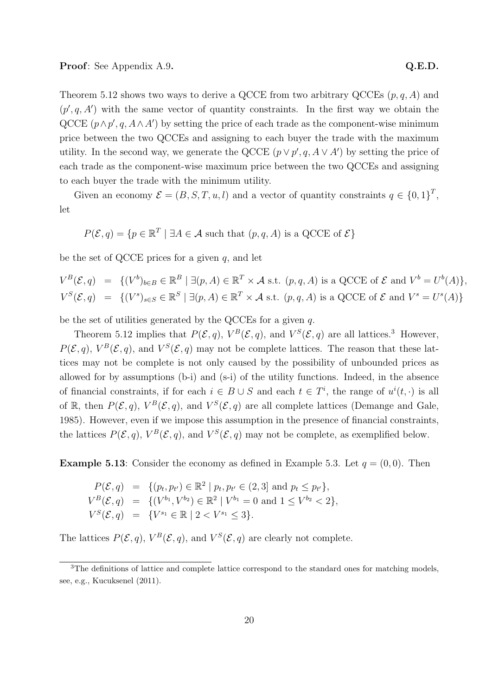Theorem 5.12 shows two ways to derive a QCCE from two arbitrary QCCEs  $(p, q, A)$  and  $(p', q, A')$  with the same vector of quantity constraints. In the first way we obtain the QCCE  $(p \wedge p', q, A \wedge A')$  by setting the price of each trade as the component-wise minimum price between the two QCCEs and assigning to each buyer the trade with the maximum utility. In the second way, we generate the QCCE  $(p \lor p', q, A \lor A')$  by setting the price of each trade as the component-wise maximum price between the two QCCEs and assigning to each buyer the trade with the minimum utility.

Given an economy  $\mathcal{E} = (B, S, T, u, l)$  and a vector of quantity constraints  $q \in \{0, 1\}^T$ , let

 $P(\mathcal{E}, q) = \{p \in \mathbb{R}^T \mid \exists A \in \mathcal{A} \text{ such that } (p, q, A) \text{ is a QCCE of } \mathcal{E}\}\$ 

be the set of QCCE prices for a given  $q$ , and let

 $V^B(\mathcal{E}, q) = \{ (V^b)_{b \in B} \in \mathbb{R}^B \mid \exists (p, A) \in \mathbb{R}^T \times \mathcal{A} \text{ s.t. } (p, q, A) \text{ is a QCCE of } \mathcal{E} \text{ and } V^b = U^b(A) \},$  $V^S(\mathcal{E}, q) = \{ (V^s)_{s \in S} \in \mathbb{R}^S \mid \exists (p, A) \in \mathbb{R}^T \times \mathcal{A} \text{ s.t. } (p, q, A) \text{ is a QCCE of } \mathcal{E} \text{ and } V^s = U^s(A) \}$ 

be the set of utilities generated by the QCCEs for a given q.

Theorem 5.12 implies that  $P(\mathcal{E}, q)$ ,  $V^B(\mathcal{E}, q)$ , and  $V^S(\mathcal{E}, q)$  are all lattices.<sup>3</sup> However,  $P(\mathcal{E}, q)$ ,  $V^B(\mathcal{E}, q)$ , and  $V^S(\mathcal{E}, q)$  may not be complete lattices. The reason that these lattices may not be complete is not only caused by the possibility of unbounded prices as allowed for by assumptions (b-i) and (s-i) of the utility functions. Indeed, in the absence of financial constraints, if for each  $i \in B \cup S$  and each  $t \in T^i$ , the range of  $u^i(t, \cdot)$  is all of R, then  $P(\mathcal{E}, q)$ ,  $V^B(\mathcal{E}, q)$ , and  $V^S(\mathcal{E}, q)$  are all complete lattices (Demange and Gale, 1985). However, even if we impose this assumption in the presence of financial constraints, the lattices  $P(\mathcal{E}, q)$ ,  $V^B(\mathcal{E}, q)$ , and  $V^S(\mathcal{E}, q)$  may not be complete, as exemplified below.

**Example 5.13:** Consider the economy as defined in Example 5.3. Let  $q = (0, 0)$ . Then

$$
P(\mathcal{E}, q) = \{ (p_t, p_{t'}) \in \mathbb{R}^2 \mid p_t, p_{t'} \in (2, 3] \text{ and } p_t \leq p_{t'} \},
$$
  
\n
$$
V^B(\mathcal{E}, q) = \{ (V^{b_1}, V^{b_2}) \in \mathbb{R}^2 \mid V^{b_1} = 0 \text{ and } 1 \leq V^{b_2} < 2 \},
$$
  
\n
$$
V^S(\mathcal{E}, q) = \{ V^{s_1} \in \mathbb{R} \mid 2 < V^{s_1} \leq 3 \}.
$$

The lattices  $P(\mathcal{E}, q)$ ,  $V^B(\mathcal{E}, q)$ , and  $V^S(\mathcal{E}, q)$  are clearly not complete.

<sup>&</sup>lt;sup>3</sup>The definitions of lattice and complete lattice correspond to the standard ones for matching models, see, e.g., Kucuksenel (2011).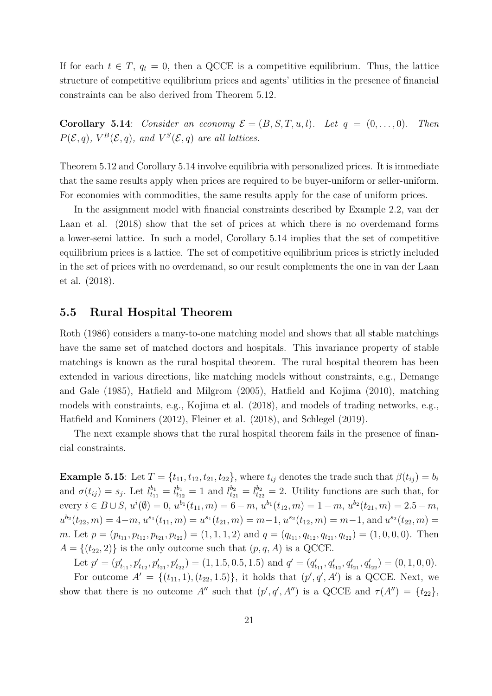If for each  $t \in T$ ,  $q_t = 0$ , then a QCCE is a competitive equilibrium. Thus, the lattice structure of competitive equilibrium prices and agents' utilities in the presence of financial constraints can be also derived from Theorem 5.12.

Corollary 5.14: Consider an economy  $\mathcal{E} = (B, S, T, u, l)$ . Let  $q = (0, \ldots, 0)$ . Then  $P(\mathcal{E}, q)$ ,  $V^B(\mathcal{E}, q)$ , and  $V^S(\mathcal{E}, q)$  are all lattices.

Theorem 5.12 and Corollary 5.14 involve equilibria with personalized prices. It is immediate that the same results apply when prices are required to be buyer-uniform or seller-uniform. For economies with commodities, the same results apply for the case of uniform prices.

In the assignment model with financial constraints described by Example 2.2, van der Laan et al. (2018) show that the set of prices at which there is no overdemand forms a lower-semi lattice. In such a model, Corollary 5.14 implies that the set of competitive equilibrium prices is a lattice. The set of competitive equilibrium prices is strictly included in the set of prices with no overdemand, so our result complements the one in van der Laan et al. (2018).

## 5.5 Rural Hospital Theorem

Roth (1986) considers a many-to-one matching model and shows that all stable matchings have the same set of matched doctors and hospitals. This invariance property of stable matchings is known as the rural hospital theorem. The rural hospital theorem has been extended in various directions, like matching models without constraints, e.g., Demange and Gale (1985), Hatfield and Milgrom (2005), Hatfield and Kojima (2010), matching models with constraints, e.g., Kojima et al. (2018), and models of trading networks, e.g., Hatfield and Kominers (2012), Fleiner et al. (2018), and Schlegel (2019).

The next example shows that the rural hospital theorem fails in the presence of financial constraints.

Example 5.15: Let  $T = \{t_{11}, t_{12}, t_{21}, t_{22}\}$ , where  $t_{ij}$  denotes the trade such that  $\beta(t_{ij}) = b_i$ and  $\sigma(t_{ij}) = s_j$ . Let  $l_{t_{11}}^{b_1} = l_{t_{12}}^{b_1} = 1$  and  $l_{t_{21}}^{b_2} = l_{t_{22}}^{b_2} = 2$ . Utility functions are such that, for every  $i \in B \cup S$ ,  $u^{i}(\emptyset) = 0$ ,  $u^{b_1}(t_{11}, m) = 6 - m$ ,  $u^{b_1}(t_{12}, m) = 1 - m$ ,  $u^{b_2}(t_{21}, m) = 2.5 - m$ ,  $u^{b_2}(t_{22}, m) = 4-m$ ,  $u^{s_1}(t_{11}, m) = u^{s_1}(t_{21}, m) = m-1$ ,  $u^{s_2}(t_{12}, m) = m-1$ , and  $u^{s_2}(t_{22}, m) =$ m. Let  $p = (p_{t_{11}}, p_{t_{12}}, p_{t_{21}}, p_{t_{22}}) = (1, 1, 1, 2)$  and  $q = (q_{t_{11}}, q_{t_{12}}, q_{t_{21}}, q_{t_{22}}) = (1, 0, 0, 0)$ . Then  $A = \{(t_{22}, 2)\}\$ is the only outcome such that  $(p, q, A)$  is a QCCE.

Let  $p' = (p'_{t_{11}}, p'_{t_{12}}, p'_{t_{21}}, p'_{t_{22}}) = (1, 1.5, 0.5, 1.5)$  and  $q' = (q'_{t_{11}}, q'_{t_{12}}, q'_{t_{21}}, q'_{t_{22}}) = (0, 1, 0, 0)$ . For outcome  $A' = \{(t_{11}, 1), (t_{22}, 1.5)\},\$ it holds that  $(p', q', A')$  is a QCCE. Next, we show that there is no outcome A'' such that  $(p', q', A'')$  is a QCCE and  $\tau(A'') = \{t_{22}\},\$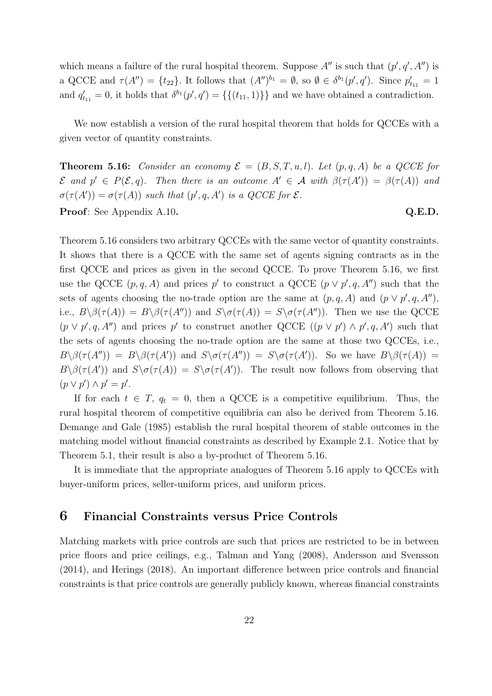which means a failure of the rural hospital theorem. Suppose  $A''$  is such that  $(p', q', A'')$  is a QCCE and  $\tau(A'') = \{t_{22}\}\.$  It follows that  $(A'')^{b_1} = \emptyset$ , so  $\emptyset \in \delta^{b_1}(p', q')$ . Since  $p'_{t_{11}} = 1$ and  $q'_{t_{11}} = 0$ , it holds that  $\delta^{b_1}(p', q') = \{\{(t_{11}, 1)\}\}\$  and we have obtained a contradiction.

We now establish a version of the rural hospital theorem that holds for QCCEs with a given vector of quantity constraints.

**Theorem 5.16:** Consider an economy  $\mathcal{E} = (B, S, T, u, l)$ . Let  $(p, q, A)$  be a QCCE for  $\mathcal E$  and  $p' \in P(\mathcal E,q)$ . Then there is an outcome  $A' \in \mathcal A$  with  $\beta(\tau(A')) = \beta(\tau(A))$  and  $\sigma(\tau(A')) = \sigma(\tau(A))$  such that  $(p', q, A')$  is a QCCE for  $\mathcal{E}.$ Proof: See Appendix A.10. Q.E.D.

Theorem 5.16 considers two arbitrary QCCEs with the same vector of quantity constraints. It shows that there is a QCCE with the same set of agents signing contracts as in the first QCCE and prices as given in the second QCCE. To prove Theorem 5.16, we first use the QCCE  $(p, q, A)$  and prices p' to construct a QCCE  $(p \vee p', q, A'')$  such that the sets of agents choosing the no-trade option are the same at  $(p, q, A)$  and  $(p \vee p', q, A'')$ , i.e.,  $B \setminus \beta(\tau(A)) = B \setminus \beta(\tau(A''))$  and  $S \setminus \sigma(\tau(A)) = S \setminus \sigma(\tau(A''))$ . Then we use the QCCE  $(p \lor p', q, A'')$  and prices p' to construct another QCCE  $((p \lor p') \land p', q, A')$  such that the sets of agents choosing the no-trade option are the same at those two QCCEs, i.e.,  $B \setminus \beta(\tau(A'')) = B \setminus \beta(\tau(A'))$  and  $S \setminus \sigma(\tau(A'')) = S \setminus \sigma(\tau(A'))$ . So we have  $B \setminus \beta(\tau(A)) =$  $B\setminus \beta(\tau(A'))$  and  $S\setminus \sigma(\tau(A)) = S\setminus \sigma(\tau(A'))$ . The result now follows from observing that  $(p \vee p') \wedge p' = p'.$ 

If for each  $t \in T$ ,  $q_t = 0$ , then a QCCE is a competitive equilibrium. Thus, the rural hospital theorem of competitive equilibria can also be derived from Theorem 5.16. Demange and Gale (1985) establish the rural hospital theorem of stable outcomes in the matching model without financial constraints as described by Example 2.1. Notice that by Theorem 5.1, their result is also a by-product of Theorem 5.16.

It is immediate that the appropriate analogues of Theorem 5.16 apply to QCCEs with buyer-uniform prices, seller-uniform prices, and uniform prices.

## 6 Financial Constraints versus Price Controls

Matching markets with price controls are such that prices are restricted to be in between price floors and price ceilings, e.g., Talman and Yang (2008), Andersson and Svensson (2014), and Herings (2018). An important difference between price controls and financial constraints is that price controls are generally publicly known, whereas financial constraints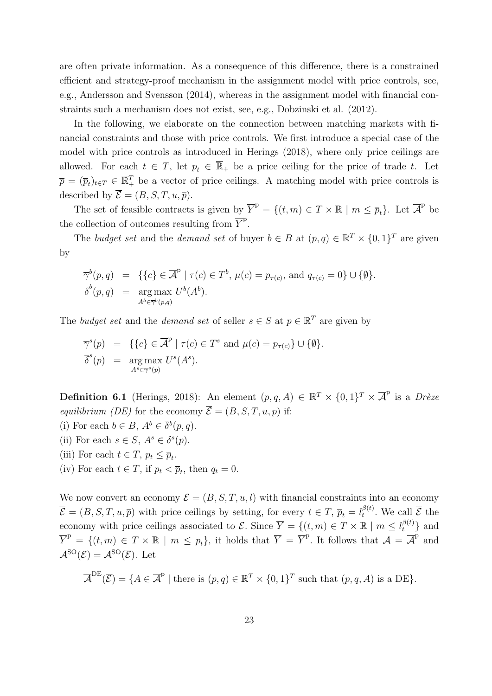are often private information. As a consequence of this difference, there is a constrained efficient and strategy-proof mechanism in the assignment model with price controls, see, e.g., Andersson and Svensson (2014), whereas in the assignment model with financial constraints such a mechanism does not exist, see, e.g., Dobzinski et al. (2012).

In the following, we elaborate on the connection between matching markets with financial constraints and those with price controls. We first introduce a special case of the model with price controls as introduced in Herings (2018), where only price ceilings are allowed. For each  $t \in T$ , let  $\overline{p}_t \in \mathbb{R}_+$  be a price ceiling for the price of trade t. Let  $\overline{p} = (\overline{p}_t)_{t \in T} \in \overline{\mathbb{R}^T_+}$  be a vector of price ceilings. A matching model with price controls is described by  $\overline{\mathcal{E}} = (B, S, T, u, \overline{p}).$ 

The set of feasible contracts is given by  $\overline{Y}^{\mathcal{P}} = \{(t,m) \in T \times \mathbb{R} \mid m \leq \overline{p}_t\}$ . Let  $\overline{\mathcal{A}}^{\mathcal{P}}$  be the collection of outcomes resulting from  $\overline{Y}^{\text{p}}$ .

The budget set and the demand set of buyer  $b \in B$  at  $(p, q) \in \mathbb{R}^T \times \{0, 1\}^T$  are given by

$$
\overline{\gamma}^b(p,q) = \{ \{c\} \in \overline{\mathcal{A}}^p \mid \tau(c) \in T^b, \mu(c) = p_{\tau(c)}, \text{ and } q_{\tau(c)} = 0 \} \cup \{ \emptyset \}.
$$
  

$$
\overline{\delta}^b(p,q) = \underset{A^b \in \overline{\gamma}^b(p,q)}{\text{arg max }} U^b(A^b).
$$

The budget set and the demand set of seller  $s \in S$  at  $p \in \mathbb{R}^T$  are given by

$$
\overline{\gamma}^s(p) = \{ \{c\} \in \overline{\mathcal{A}}^{\mathcal{P}} \mid \tau(c) \in T^s \text{ and } \mu(c) = p_{\tau(c)} \} \cup \{ \emptyset \}.
$$
  

$$
\overline{\delta}^s(p) = \underset{A^s \in \overline{\gamma}^s(p)}{\text{arg max }} U^s(A^s).
$$

**Definition 6.1** (Herings, 2018): An element  $(p, q, A) \in \mathbb{R}^T \times \{0, 1\}^T \times \overline{A}^p$  is a Drèze equilibrium (DE) for the economy  $\overline{\mathcal{E}} = (B, S, T, u, \overline{p})$  if:

- (i) For each  $b \in B$ ,  $A^b \in \overline{\delta}^b(p,q)$ .
- (ii) For each  $s \in S$ ,  $A^s \in \overline{\delta}^s(p)$ .
- (iii) For each  $t \in T$ ,  $p_t \leq \overline{p}_t$ .
- (iv) For each  $t \in T$ , if  $p_t < \overline{p}_t$ , then  $q_t = 0$ .

We now convert an economy  $\mathcal{E} = (B, S, T, u, l)$  with financial constraints into an economy  $\overline{\mathcal{E}} = (B, S, T, u, \overline{p})$  with price ceilings by setting, for every  $t \in T$ ,  $\overline{p}_t = l_t^{\beta(t)}$  $t^{\beta(t)}$ . We call  $\overline{\mathcal{E}}$  the economy with price ceilings associated to  $\mathcal{E}$ . Since  $\overline{Y} = \{(t, m) \in T \times \mathbb{R} \mid m \leq l_t^{\beta(t)}\}$  and  $\overline{Y}^{\text{p}} = \{(t,m) \in T \times \mathbb{R} \mid m \leq \overline{p}_t\}$ , it holds that  $\overline{Y} = \overline{Y}^{\text{p}}$ . It follows that  $\mathcal{A} = \overline{\mathcal{A}}^{\text{p}}$  and  $\mathcal{A}^{\rm SO}(\mathcal{E})=\mathcal{A}^{\rm SO}(\overline{\mathcal{E}}).$  Let

$$
\overline{\mathcal{A}}^{\mathrm{DE}}(\overline{\mathcal{E}}) = \{ A \in \overline{\mathcal{A}}^{\mathrm{P}} \mid \text{there is } (p, q) \in \mathbb{R}^T \times \{0, 1\}^T \text{ such that } (p, q, A) \text{ is a DE} \}.
$$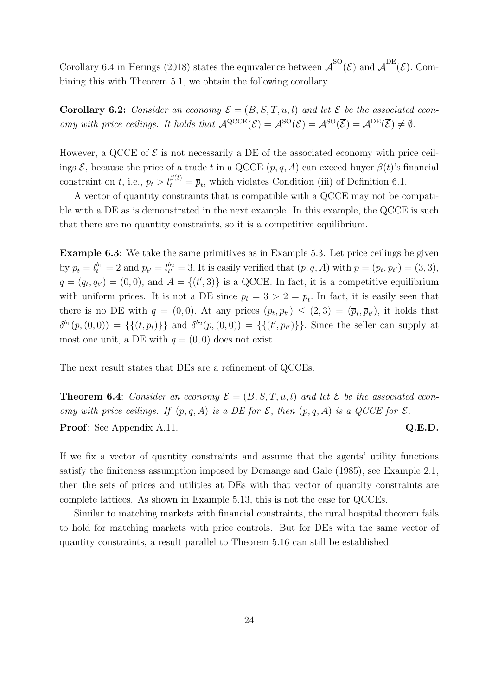Corollary 6.4 in Herings (2018) states the equivalence between  $\overline{A}^{\text{SO}}(\overline{\mathcal{E}})$  and  $\overline{A}^{\text{DE}}(\overline{\mathcal{E}})$ . Combining this with Theorem 5.1, we obtain the following corollary.

**Corollary 6.2:** Consider an economy  $\mathcal{E} = (B, S, T, u, l)$  and let  $\overline{\mathcal{E}}$  be the associated economy with price ceilings. It holds that  $\mathcal{A}^{\text{QCCE}}(\mathcal{E}) = \mathcal{A}^{\text{SO}}(\mathcal{E}) = \mathcal{A}^{\text{SO}}(\overline{\mathcal{E}}) = \mathcal{A}^{\text{DE}}(\overline{\mathcal{E}}) \neq \emptyset$ .

However, a QCCE of  $\mathcal E$  is not necessarily a DE of the associated economy with price ceilings  $\overline{\mathcal{E}}$ , because the price of a trade t in a QCCE  $(p, q, A)$  can exceed buyer  $\beta(t)$ 's financial constraint on t, i.e.,  $p_t > l_t^{\beta(t)} = \overline{p}_t$ , which violates Condition (iii) of Definition 6.1.

A vector of quantity constraints that is compatible with a QCCE may not be compatible with a DE as is demonstrated in the next example. In this example, the QCCE is such that there are no quantity constraints, so it is a competitive equilibrium.

Example 6.3: We take the same primitives as in Example 5.3. Let price ceilings be given by  $\overline{p}_t = l_t^{b_1} = 2$  and  $\overline{p}_{t'} = l_{t'}^{b_2} = 3$ . It is easily verified that  $(p, q, A)$  with  $p = (p_t, p_{t'}) = (3, 3)$ ,  $q = (q_t, q_{t'}) = (0, 0)$ , and  $A = \{(t', 3)\}\$ is a QCCE. In fact, it is a competitive equilibrium with uniform prices. It is not a DE since  $p_t = 3 > 2 = \overline{p}_t$ . In fact, it is easily seen that there is no DE with  $q = (0,0)$ . At any prices  $(p_t, p_{t'}) \leq (2,3) = (\bar{p}_t, \bar{p}_{t'})$ , it holds that  $\bar{\delta}^{b_1}(p,(0,0)) = \{\{(t,p_t)\}\}\$ and  $\bar{\delta}^{b_2}(p,(0,0)) = \{\{(t',p_{t'})\}\}\.$  Since the seller can supply at most one unit, a DE with  $q = (0, 0)$  does not exist.

The next result states that DEs are a refinement of QCCEs.

**Theorem 6.4:** Consider an economy  $\mathcal{E} = (B, S, T, u, l)$  and let  $\overline{\mathcal{E}}$  be the associated economy with price ceilings. If  $(p, q, A)$  is a DE for  $\overline{\mathcal{E}}$ , then  $(p, q, A)$  is a QCCE for  $\mathcal{E}$ . Proof: See Appendix A.11. Q.E.D.

If we fix a vector of quantity constraints and assume that the agents' utility functions satisfy the finiteness assumption imposed by Demange and Gale (1985), see Example 2.1, then the sets of prices and utilities at DEs with that vector of quantity constraints are complete lattices. As shown in Example 5.13, this is not the case for QCCEs.

Similar to matching markets with financial constraints, the rural hospital theorem fails to hold for matching markets with price controls. But for DEs with the same vector of quantity constraints, a result parallel to Theorem 5.16 can still be established.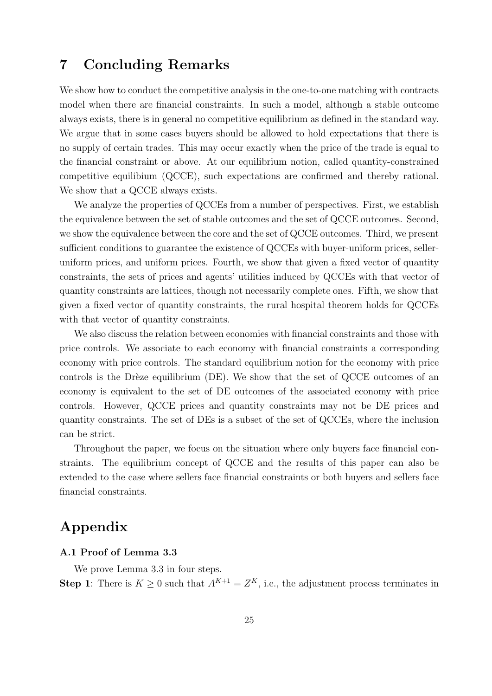## 7 Concluding Remarks

We show how to conduct the competitive analysis in the one-to-one matching with contracts model when there are financial constraints. In such a model, although a stable outcome always exists, there is in general no competitive equilibrium as defined in the standard way. We argue that in some cases buyers should be allowed to hold expectations that there is no supply of certain trades. This may occur exactly when the price of the trade is equal to the financial constraint or above. At our equilibrium notion, called quantity-constrained competitive equilibium (QCCE), such expectations are confirmed and thereby rational. We show that a QCCE always exists.

We analyze the properties of QCCEs from a number of perspectives. First, we establish the equivalence between the set of stable outcomes and the set of QCCE outcomes. Second, we show the equivalence between the core and the set of QCCE outcomes. Third, we present sufficient conditions to guarantee the existence of QCCEs with buyer-uniform prices, selleruniform prices, and uniform prices. Fourth, we show that given a fixed vector of quantity constraints, the sets of prices and agents' utilities induced by QCCEs with that vector of quantity constraints are lattices, though not necessarily complete ones. Fifth, we show that given a fixed vector of quantity constraints, the rural hospital theorem holds for QCCEs with that vector of quantity constraints.

We also discuss the relation between economies with financial constraints and those with price controls. We associate to each economy with financial constraints a corresponding economy with price controls. The standard equilibrium notion for the economy with price controls is the Drèze equilibrium (DE). We show that the set of QCCE outcomes of an economy is equivalent to the set of DE outcomes of the associated economy with price controls. However, QCCE prices and quantity constraints may not be DE prices and quantity constraints. The set of DEs is a subset of the set of QCCEs, where the inclusion can be strict.

Throughout the paper, we focus on the situation where only buyers face financial constraints. The equilibrium concept of QCCE and the results of this paper can also be extended to the case where sellers face financial constraints or both buyers and sellers face financial constraints.

## Appendix

## A.1 Proof of Lemma 3.3

We prove Lemma 3.3 in four steps.

**Step 1**: There is  $K \geq 0$  such that  $A^{K+1} = Z^K$ , i.e., the adjustment process terminates in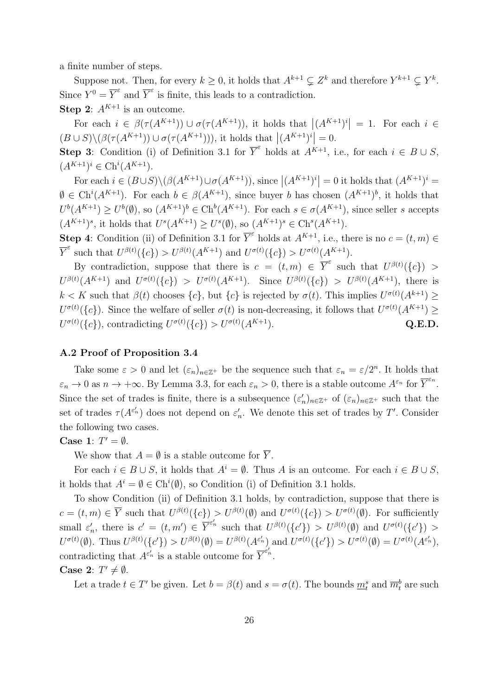a finite number of steps.

Suppose not. Then, for every  $k \geq 0$ , it holds that  $A^{k+1} \subsetneq Z^k$  and therefore  $Y^{k+1} \subsetneq Y^k$ . Since  $Y^0 = \overline{Y}^\varepsilon$  and  $\overline{Y}^\varepsilon$  is finite, this leads to a contradiction.

**Step 2:**  $A^{K+1}$  is an outcome.

For each  $i \in \beta(\tau(A^{K+1})) \cup \sigma(\tau(A^{K+1}))$ , it holds that  $|(A^{K+1})^i| = 1$ . For each  $i \in$  $(B\cup S)\setminus (\beta(\tau(A^{K+1}))\cup \sigma(\tau(A^{K+1}))),$  it holds that  $|(A^{K+1})^i|=0.$ 

**Step 3:** Condition (i) of Definition 3.1 for  $\overline{Y}^{\varepsilon}$  holds at  $A^{K+1}$ , i.e., for each  $i \in B \cup S$ ,  $(A^{K+1})^i \in \text{Ch}^i(A^{K+1}).$ 

For each  $i \in (B \cup S) \setminus (\beta(A^{K+1}) \cup \sigma(A^{K+1}))$ , since  $|(A^{K+1})^i| = 0$  it holds that  $(A^{K+1})^i =$  $\emptyset \in \text{Ch}^i(A^{K+1})$ . For each  $b \in \beta(A^{K+1})$ , since buyer b has chosen  $(A^{K+1})^b$ , it holds that  $U^b(A^{K+1}) \geq U^b(\emptyset)$ , so  $(A^{K+1})^b \in \text{Ch}^b(A^{K+1})$ . For each  $s \in \sigma(A^{K+1})$ , since seller s accepts  $(A^{K+1})^s$ , it holds that  $U^s(A^{K+1}) \geq U^s(\emptyset)$ , so  $(A^{K+1})^s \in \text{Ch}^s(A^{K+1})$ .

**Step 4**: Condition (ii) of Definition 3.1 for  $\overline{Y}^{\varepsilon}$  holds at  $A^{K+1}$ , i.e., there is no  $c = (t, m) \in$  $\overline{Y}^{\varepsilon}$  such that  $U^{\beta(t)}(\lbrace c \rbrace) > U^{\beta(t)}(A^{K+1})$  and  $U^{\sigma(t)}(\lbrace c \rbrace) > U^{\sigma(t)}(A^{K+1})$ .

By contradiction, suppose that there is  $c = (t, m) \in \overline{Y}^{\varepsilon}$  such that  $U^{\beta(t)}(\lbrace c \rbrace) >$  $U^{\beta(t)}(A^{K+1})$  and  $U^{\sigma(t)}(\lbrace c \rbrace) > U^{\sigma(t)}(A^{K+1})$ . Since  $U^{\beta(t)}(\lbrace c \rbrace) > U^{\beta(t)}(A^{K+1})$ , there is  $k < K$  such that  $\beta(t)$  chooses  $\{c\}$ , but  $\{c\}$  is rejected by  $\sigma(t)$ . This implies  $U^{\sigma(t)}(A^{k+1}) \geq$  $U^{\sigma(t)}(\lbrace c \rbrace)$ . Since the welfare of seller  $\sigma(t)$  is non-decreasing, it follows that  $U^{\sigma(t)}(A^{K+1}) \geq$  $U^{\sigma(t)}(\lbrace c \rbrace)$ , contradicting  $U^{\sigma(t)}(\lbrace c \rbrace) > U^{\sigma(t)}(A^{K+1})$ . Q.E.D.

## A.2 Proof of Proposition 3.4

Take some  $\varepsilon > 0$  and let  $(\varepsilon_n)_{n \in \mathbb{Z}^+}$  be the sequence such that  $\varepsilon_n = \varepsilon/2^n$ . It holds that  $\varepsilon_n \to 0$  as  $n \to +\infty$ . By Lemma 3.3, for each  $\varepsilon_n > 0$ , there is a stable outcome  $A^{\varepsilon_n}$  for  $\overline{Y}^{\varepsilon_n}$ . Since the set of trades is finite, there is a subsequence  $(\varepsilon'_n)_{n \in \mathbb{Z}^+}$  of  $(\varepsilon_n)_{n \in \mathbb{Z}^+}$  such that the set of trades  $\tau(A^{\varepsilon'_n})$  does not depend on  $\varepsilon'_n$ . We denote this set of trades by T'. Consider the following two cases.

Case 1:  $T' = \emptyset$ .

We show that  $A = \emptyset$  is a stable outcome for  $\overline{Y}$ .

For each  $i \in B \cup S$ , it holds that  $A^i = \emptyset$ . Thus A is an outcome. For each  $i \in B \cup S$ , it holds that  $A^i = \emptyset \in \text{Ch}^i(\emptyset)$ , so Condition (i) of Definition 3.1 holds.

To show Condition (ii) of Definition 3.1 holds, by contradiction, suppose that there is  $c = (t, m) \in \overline{Y}$  such that  $U^{\beta(t)}(\{c\}) > U^{\beta(t)}(\emptyset)$  and  $U^{\sigma(t)}(\{c\}) > U^{\sigma(t)}(\emptyset)$ . For sufficiently small  $\varepsilon'_n$ , there is  $c' = (t, m') \in \overline{Y}^{\varepsilon'_n}$  such that  $U^{\beta(t)}(\{c'\}) > U^{\beta(t)}(\emptyset)$  and  $U^{\sigma(t)}(\{c'\}) >$  $U^{\sigma(t)}(\emptyset)$ . Thus  $U^{\beta(t)}(\lbrace c' \rbrace) > U^{\beta(t)}(\emptyset) = U^{\beta(t)}(A^{\varepsilon'_n})$  and  $U^{\sigma(t)}(\lbrace c' \rbrace) > U^{\sigma(t)}(\emptyset) = U^{\sigma(t)}(A^{\varepsilon'_n})$ , contradicting that  $A^{\varepsilon'_n}$  is a stable outcome for  $\overline{Y}^{\varepsilon'_n}$ .

Case 2:  $T' \neq \emptyset$ .

Let a trade  $t \in T'$  be given. Let  $b = \beta(t)$  and  $s = \sigma(t)$ . The bounds  $\underline{m}_t^s$  and  $\overline{m}_t^b$  are such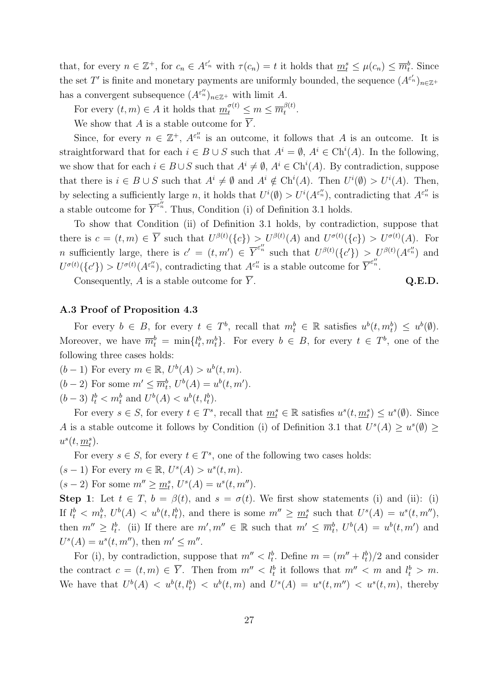that, for every  $n \in \mathbb{Z}^+$ , for  $c_n \in A^{\varepsilon'_n}$  with  $\tau(c_n) = t$  it holds that  $\underline{m}_t^s \leq \mu(c_n) \leq \overline{m}_t^b$ . Since the set T' is finite and monetary payments are uniformly bounded, the sequence  $(A^{\varepsilon'_n})_{n\in\mathbb{Z}^+}$ has a convergent subsequence  $(A^{\varepsilon_n''})_{n \in \mathbb{Z}^+}$  with limit A.

For every  $(t, m) \in A$  it holds that  $\underline{m}_t^{\sigma(t)} \leq m \leq \overline{m}_t^{\beta(t)}$  $\frac{\rho(\iota)}{t}$ .

We show that A is a stable outcome for  $\overline{Y}$ .

Since, for every  $n \in \mathbb{Z}^+$ ,  $A^{\varepsilon_n^{\prime\prime}}$  is an outcome, it follows that A is an outcome. It is straightforward that for each  $i \in B \cup S$  such that  $A^i = \emptyset$ ,  $A^i \in \text{Ch}^i(A)$ . In the following, we show that for each  $i \in B \cup S$  such that  $A^i \neq \emptyset$ ,  $A^i \in \text{Ch}^i(A)$ . By contradiction, suppose that there is  $i \in B \cup S$  such that  $A^i \neq \emptyset$  and  $A^i \notin \text{Ch}^i(A)$ . Then  $U^i(\emptyset) > U^i(A)$ . Then, by selecting a sufficiently large n, it holds that  $U^i(\emptyset) > U^i(A^{\epsilon''_n})$ , contradicting that  $A^{\epsilon''_n}$  is a stable outcome for  $\overline{Y}^{\varepsilon_n^{\prime\prime}}$ . Thus, Condition (i) of Definition 3.1 holds.

To show that Condition (ii) of Definition 3.1 holds, by contradiction, suppose that there is  $c = (t, m) \in \overline{Y}$  such that  $U^{\beta(t)}(\{c\}) > U^{\beta(t)}(A)$  and  $U^{\sigma(t)}(\{c\}) > U^{\sigma(t)}(A)$ . For n sufficiently large, there is  $c' = (t, m') \in \overline{Y}^{\varepsilon_n''}$  such that  $U^{\beta(t)}(\{c'\}) > U^{\beta(t)}(A^{\varepsilon_n''})$  and  $U^{\sigma(t)}(\lbrace c' \rbrace) > U^{\sigma(t)}(A^{\varepsilon_n^{\prime\prime}}),$  contradicting that  $A^{\varepsilon_n^{\prime\prime}}$  is a stable outcome for  $\overline{Y}^{\varepsilon_n^{\prime\prime}}$ .

Consequently, A is a stable outcome for  $\overline{Y}$ . Q.E.D.

## A.3 Proof of Proposition 4.3

For every  $b \in B$ , for every  $t \in T^b$ , recall that  $m_t^b \in \mathbb{R}$  satisfies  $u^b(t, m_t^b) \leq u^b(\emptyset)$ . Moreover, we have  $\overline{m}_t^b = \min\{l_t^b, m_t^b\}$ . For every  $b \in B$ , for every  $t \in T^b$ , one of the following three cases holds:

 $(b-1)$  For every  $m \in \mathbb{R}$ ,  $U^b(A) > u^b(t,m)$ .  $(b-2)$  For some  $m' \leq \overline{m}_t^b$ ,  $U^b(A) = u^b(t, m')$ .

 $(b-3)$   $l_t^b < m_t^b$  and  $U^b(A) < u^b(t, l_t^b)$ .

For every  $s \in S$ , for every  $t \in T^s$ , recall that  $\underline{m}_t^s \in \mathbb{R}$  satisfies  $u^s(t, \underline{m}_t^s) \leq u^s(\emptyset)$ . Since A is a stable outcome it follows by Condition (i) of Definition 3.1 that  $U^s(A) \geq u^s(\emptyset) \geq$  $u^s(t, \underline{m}_t^s)$ .

For every  $s \in S$ , for every  $t \in T^s$ , one of the following two cases holds:

 $(s-1)$  For every  $m \in \mathbb{R}$ ,  $U^{s}(A) > u^{s}(t, m)$ .

 $(s-2)$  For some  $m'' \geq \underline{m}_t^s$ ,  $U^s(A) = u^s(t, m'')$ .

Step 1: Let  $t \in T$ ,  $b = \beta(t)$ , and  $s = \sigma(t)$ . We first show statements (i) and (ii): (i) If  $l_t^b < m_t^b$ ,  $U^b(A) < u^b(t, l_t^b)$ , and there is some  $m'' \geq m_t^s$  such that  $U^s(A) = u^s(t, m'')$ , then  $m'' \geq l_t^b$ . (ii) If there are  $m', m'' \in \mathbb{R}$  such that  $m' \leq \overline{m}_t^b$ ,  $U^b(A) = u^b(t, m')$  and  $U^{s}(A) = u^{s}(t, m'')$ , then  $m' \leq m''$ .

For (i), by contradiction, suppose that  $m'' < l_t^b$ . Define  $m = (m'' + l_t^b)/2$  and consider the contract  $c = (t, m) \in \overline{Y}$ . Then from  $m'' < l_t^b$  it follows that  $m'' < m$  and  $l_t^b > m$ . We have that  $U^b(A) < u^b(t, l_t^b) < u^b(t, m)$  and  $U^s(A) = u^s(t, m'') < u^s(t, m)$ , thereby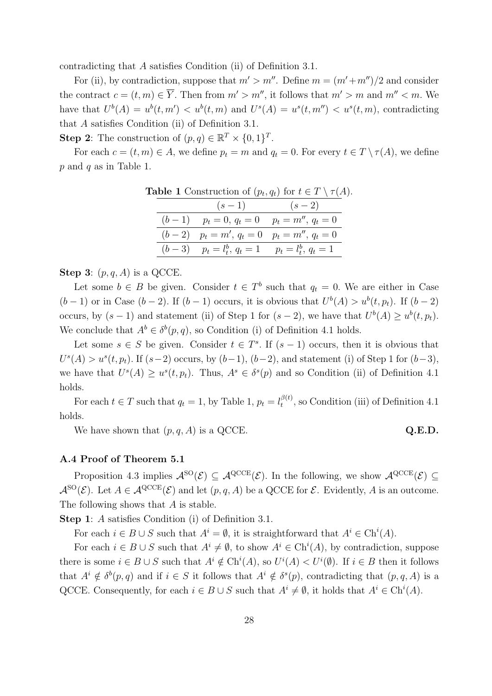contradicting that A satisfies Condition (ii) of Definition 3.1.

For (ii), by contradiction, suppose that  $m' > m''$ . Define  $m = (m'+m'')/2$  and consider the contract  $c = (t, m) \in \overline{Y}$ . Then from  $m' > m''$ , it follows that  $m' > m$  and  $m'' < m$ . We have that  $U^b(A) = u^b(t, m') < u^b(t, m)$  and  $U^s(A) = u^s(t, m'') < u^s(t, m)$ , contradicting that A satisfies Condition (ii) of Definition 3.1.

**Step 2:** The construction of  $(p, q) \in \mathbb{R}^T \times \{0, 1\}^T$ .

For each  $c = (t, m) \in A$ , we define  $p_t = m$  and  $q_t = 0$ . For every  $t \in T \setminus \tau(A)$ , we define  $p$  and  $q$  as in Table 1.

| <b>Table 1</b> Construction of $(p_t, q_t)$ for $t \in T \setminus \tau(A)$ . |  |                                                        |                 |
|-------------------------------------------------------------------------------|--|--------------------------------------------------------|-----------------|
|                                                                               |  |                                                        | $(s-1)$ $(s-2)$ |
|                                                                               |  | $(b-1)$ $p_t = 0, q_t = 0$ $p_t = m'', q_t = 0$        |                 |
|                                                                               |  | $(b-2)$ $p_t = m'$ , $q_t = 0$ $p_t = m''$ , $q_t = 0$ |                 |
|                                                                               |  | $(b-3)$ $p_t = l_t^b, q_t = 1$ $p_t = l_t^b, q_t = 1$  |                 |

## Step 3:  $(p, q, A)$  is a QCCE.

Let some  $b \in B$  be given. Consider  $t \in T^b$  such that  $q_t = 0$ . We are either in Case  $(b-1)$  or in Case  $(b-2)$ . If  $(b-1)$  occurs, it is obvious that  $U^b(A) > u^b(t, p_t)$ . If  $(b-2)$ occurs, by  $(s-1)$  and statement (ii) of Step 1 for  $(s-2)$ , we have that  $U^b(A) \geq u^b(t, p_t)$ . We conclude that  $A^b \in \delta^b(p,q)$ , so Condition (i) of Definition 4.1 holds.

Let some  $s \in S$  be given. Consider  $t \in T^s$ . If  $(s-1)$  occurs, then it is obvious that  $U^{s}(A) > u^{s}(t, p_t)$ . If  $(s-2)$  occurs, by  $(b-1)$ ,  $(b-2)$ , and statement (i) of Step 1 for  $(b-3)$ , we have that  $U^{s}(A) \geq u^{s}(t, p_t)$ . Thus,  $A^{s} \in \delta^{s}(p)$  and so Condition (ii) of Definition 4.1 holds.

For each  $t \in T$  such that  $q_t = 1$ , by Table 1,  $p_t = l_t^{\beta(t)}$  $t_t^{\rho(t)}$ , so Condition (iii) of Definition 4.1 holds.

We have shown that  $(p, q, A)$  is a QCCE.  $Q.E.D.$ 

## A.4 Proof of Theorem 5.1

Proposition 4.3 implies  $\mathcal{A}^{\rm SO}(\mathcal{E}) \subseteq \mathcal{A}^{\rm QCCE}(\mathcal{E})$ . In the following, we show  $\mathcal{A}^{\rm QCCE}(\mathcal{E}) \subseteq$  $\mathcal{A}^{\text{SO}}(\mathcal{E})$ . Let  $A \in \mathcal{A}^{\text{QCCE}}(\mathcal{E})$  and let  $(p, q, A)$  be a QCCE for  $\mathcal{E}$ . Evidently, A is an outcome. The following shows that A is stable.

Step 1: A satisfies Condition (i) of Definition 3.1.

For each  $i \in B \cup S$  such that  $A^i = \emptyset$ , it is straightforward that  $A^i \in \text{Ch}^i(A)$ .

For each  $i \in B \cup S$  such that  $A^i \neq \emptyset$ , to show  $A^i \in \text{Ch}^i(A)$ , by contradiction, suppose there is some  $i \in B \cup S$  such that  $A^i \notin Ch^i(A)$ , so  $U^i(A) < U^i(\emptyset)$ . If  $i \in B$  then it follows that  $A^i \notin \delta^b(p,q)$  and if  $i \in S$  it follows that  $A^i \notin \delta^s(p)$ , contradicting that  $(p,q,A)$  is a QCCE. Consequently, for each  $i \in B \cup S$  such that  $A^i \neq \emptyset$ , it holds that  $A^i \in \text{Ch}^i(A)$ .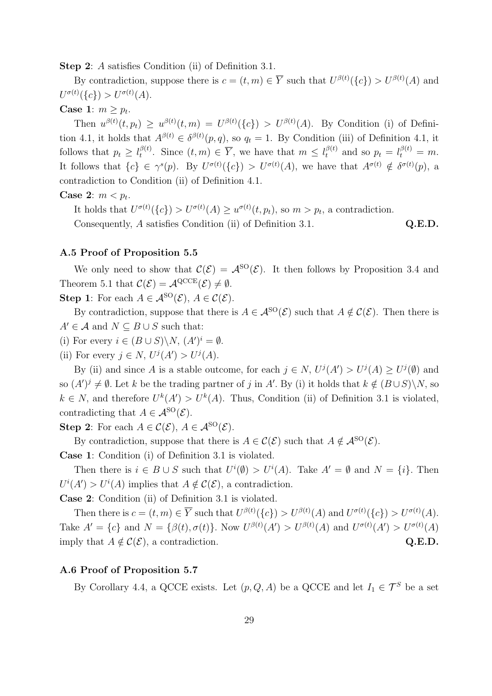Step 2: A satisfies Condition (ii) of Definition 3.1.

By contradiction, suppose there is  $c = (t, m) \in \overline{Y}$  such that  $U^{\beta(t)}(\{c\}) > U^{\beta(t)}(A)$  and  $U^{\sigma(t)}(\lbrace c \rbrace) > U^{\sigma(t)}(A).$ 

## Case 1:  $m \geq p_t$ .

Then  $u^{\beta(t)}(t, p_t) \geq u^{\beta(t)}(t, m) = U^{\beta(t)}(\{c\}) > U^{\beta(t)}(A)$ . By Condition (i) of Definition 4.1, it holds that  $A^{\beta(t)} \in \delta^{\beta(t)}(p,q)$ , so  $q_t = 1$ . By Condition (iii) of Definition 4.1, it follows that  $p_t \geq l_t^{\beta(t)}$  $t_t^{\beta(t)}$ . Since  $(t,m) \in \overline{Y}$ , we have that  $m \leq l_t^{\beta(t)}$  and so  $p_t = l_t^{\beta(t)} = m$ . It follows that  $\{c\} \in \gamma^{s}(p)$ . By  $U^{\sigma(t)}(\{c\}) > U^{\sigma(t)}(A)$ , we have that  $A^{\sigma(t)} \notin \delta^{\sigma(t)}(p)$ , a contradiction to Condition (ii) of Definition 4.1.

## Case 2:  $m < p_t$ .

It holds that  $U^{\sigma(t)}(\{c\}) > U^{\sigma(t)}(A) \geq u^{\sigma(t)}(t, p_t)$ , so  $m > p_t$ , a contradiction. Consequently, A satisfies Condition (ii) of Definition 3.1. Q.E.D.

## A.5 Proof of Proposition 5.5

We only need to show that  $\mathcal{C}(\mathcal{E}) = \mathcal{A}^{\text{SO}}(\mathcal{E})$ . It then follows by Proposition 3.4 and Theorem 5.1 that  $\mathcal{C}(\mathcal{E}) = \mathcal{A}^{\text{QCE}}(\mathcal{E}) \neq \emptyset$ .

Step 1: For each  $A \in \mathcal{A}^{\text{SO}}(\mathcal{E}), A \in \mathcal{C}(\mathcal{E}).$ 

By contradiction, suppose that there is  $A \in \mathcal{A}^{\rm SO}(\mathcal{E})$  such that  $A \notin \mathcal{C}(\mathcal{E})$ . Then there is  $A' \in \mathcal{A}$  and  $N \subseteq B \cup S$  such that:

(i) For every  $i \in (B \cup S) \backslash N$ ,  $(A')^i = \emptyset$ .

(ii) For every  $j \in N$ ,  $U^{j}(A') > U^{j}(A)$ .

By (ii) and since A is a stable outcome, for each  $j \in N$ ,  $U^{j}(A') > U^{j}(A) \ge U^{j}(\emptyset)$  and so  $(A')^j \neq \emptyset$ . Let k be the trading partner of j in A'. By (i) it holds that  $k \notin (B \cup S) \backslash N$ , so  $k \in N$ , and therefore  $U^k(A') > U^k(A)$ . Thus, Condition (ii) of Definition 3.1 is violated, contradicting that  $A \in \mathcal{A}^{\text{SO}}(\mathcal{E}).$ 

Step 2: For each  $A \in \mathcal{C}(\mathcal{E}), A \in \mathcal{A}^{\text{SO}}(\mathcal{E}).$ 

By contradiction, suppose that there is  $A \in \mathcal{C}(\mathcal{E})$  such that  $A \notin \mathcal{A}^{\text{SO}}(\mathcal{E})$ .

Case 1: Condition (i) of Definition 3.1 is violated.

Then there is  $i \in B \cup S$  such that  $U^{i}(\emptyset) > U^{i}(A)$ . Take  $A' = \emptyset$  and  $N = \{i\}$ . Then  $U^{i}(A') > U^{i}(A)$  implies that  $A \notin \mathcal{C}(\mathcal{E})$ , a contradiction.

Case 2: Condition (ii) of Definition 3.1 is violated.

Then there is  $c = (t, m) \in \overline{Y}$  such that  $U^{\beta(t)}(\{c\}) > U^{\beta(t)}(A)$  and  $U^{\sigma(t)}(\{c\}) > U^{\sigma(t)}(A)$ . Take  $A' = \{c\}$  and  $N = \{\beta(t), \sigma(t)\}\$ . Now  $U^{\beta(t)}(A') > U^{\beta(t)}(A)$  and  $U^{\sigma(t)}(A') > U^{\sigma(t)}(A)$ imply that  $A \notin \mathcal{C}(\mathcal{E})$ , a contradiction. Q.E.D.

## A.6 Proof of Proposition 5.7

By Corollary 4.4, a QCCE exists. Let  $(p, Q, A)$  be a QCCE and let  $I_1 \in \mathcal{T}^S$  be a set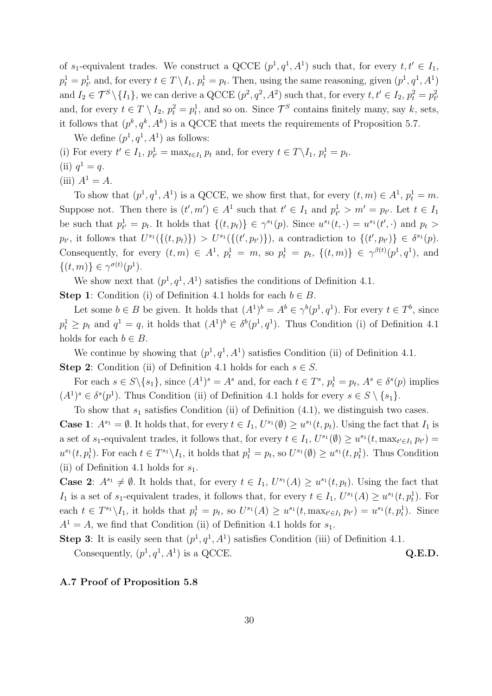of  $s_1$ -equivalent trades. We construct a QCCE  $(p^1, q^1, A^1)$  such that, for every  $t, t' \in I_1$ ,  $p_t^1 = p_{t'}^1$  and, for every  $t \in T \setminus I_1$ ,  $p_t^1 = p_t$ . Then, using the same reasoning, given  $(p^1, q^1, A^1)$ and  $I_2 \in \mathcal{T}^S \setminus \{I_1\}$ , we can derive a QCCE  $(p^2, q^2, A^2)$  such that, for every  $t, t' \in I_2, p_t^2 = p_{t'}^2$ and, for every  $t \in T \setminus I_2$ ,  $p_t^2 = p_t^1$ , and so on. Since  $\mathcal{T}^S$  contains finitely many, say k, sets, it follows that  $(p^k, q^k, A^k)$  is a QCCE that meets the requirements of Proposition 5.7.

We define  $(p^1, q^1, A^1)$  as follows:

(i) For every  $t' \in I_1$ ,  $p_{t'}^1 = \max_{t \in I_1} p_t$  and, for every  $t \in T \setminus I_1$ ,  $p_t^1 = p_t$ . (ii)  $q^1 = q$ .

(iii)  $A^1 = A$ .

To show that  $(p^1, q^1, A^1)$  is a QCCE, we show first that, for every  $(t, m) \in A^1$ ,  $p_t^1 = m$ . Suppose not. Then there is  $(t', m') \in A^1$  such that  $t' \in I_1$  and  $p_{t'}^1 > m' = p_{t'}$ . Let  $t \in I_1$ be such that  $p_{t'}^1 = p_t$ . It holds that  $\{(t, p_t)\}\in \gamma^{s_1}(p)$ . Since  $u^{s_1}(t, \cdot) = u^{s_1}(t', \cdot)$  and  $p_t >$  $p_{t'}$ , it follows that  $U^{s_1}(\{(t,p_t)\}) > U^{s_1}(\{(t',p_{t'})\})$ , a contradiction to  $\{(t',p_{t'})\} \in \delta^{s_1}(p)$ . Consequently, for every  $(t, m) \in A^1$ ,  $p_t^1 = m$ , so  $p_t^1 = p_t$ ,  $\{(t, m)\}\in \gamma^{\beta(t)}(p^1, q^1)$ , and  $\{(t,m)\}\in \gamma^{\sigma(t)}(p^1).$ 

We show next that  $(p^1, q^1, A^1)$  satisfies the conditions of Definition 4.1.

**Step 1:** Condition (i) of Definition 4.1 holds for each  $b \in B$ .

Let some  $b \in B$  be given. It holds that  $(A^1)^b = A^b \in \gamma^b(p^1, q^1)$ . For every  $t \in T^b$ , since  $p_t^1 \geq p_t$  and  $q^1 = q$ , it holds that  $(A^1)^b \in \delta^b(p^1, q^1)$ . Thus Condition (i) of Definition 4.1 holds for each  $b \in B$ .

We continue by showing that  $(p^1, q^1, A^1)$  satisfies Condition (ii) of Definition 4.1. **Step 2:** Condition (ii) of Definition 4.1 holds for each  $s \in S$ .

For each  $s \in S \setminus \{s_1\}$ , since  $(A^1)^s = A^s$  and, for each  $t \in T^s$ ,  $p_t^1 = p_t$ ,  $A^s \in \delta^s(p)$  implies  $(A<sup>1</sup>)<sup>s</sup> \in \delta<sup>s</sup>(p<sup>1</sup>)$ . Thus Condition (ii) of Definition 4.1 holds for every  $s \in S \setminus \{s_1\}$ .

To show that  $s_1$  satisfies Condition (ii) of Definition (4.1), we distinguish two cases.

**Case 1**:  $A^{s_1} = \emptyset$ . It holds that, for every  $t \in I_1$ ,  $U^{s_1}(\emptyset) \ge u^{s_1}(t, p_t)$ . Using the fact that  $I_1$  is a set of  $s_1$ -equivalent trades, it follows that, for every  $t \in I_1$ ,  $U^{s_1}(\emptyset) \geq u^{s_1}(t, \max_{t' \in I_1} p_{t'}) =$  $u^{s_1}(t, p_t^1)$ . For each  $t \in T^{s_1} \backslash I_1$ , it holds that  $p_t^1 = p_t$ , so  $U^{s_1}(\emptyset) \ge u^{s_1}(t, p_t^1)$ . Thus Condition (ii) of Definition 4.1 holds for  $s_1$ .

**Case 2:**  $A^{s_1} \neq \emptyset$ . It holds that, for every  $t \in I_1$ ,  $U^{s_1}(A) \geq u^{s_1}(t, p_t)$ . Using the fact that I<sub>1</sub> is a set of s<sub>1</sub>-equivalent trades, it follows that, for every  $t \in I_1$ ,  $U^{s_1}(A) \geq u^{s_1}(t, p_t^1)$ . For each  $t \in T^{s_1} \backslash I_1$ , it holds that  $p_t^1 = p_t$ , so  $U^{s_1}(A) \ge u^{s_1}(t, \max_{t' \in I_1} p_{t'}) = u^{s_1}(t, p_t^1)$ . Since  $A<sup>1</sup> = A$ , we find that Condition (ii) of Definition 4.1 holds for  $s<sub>1</sub>$ .

**Step 3**: It is easily seen that  $(p^1, q^1, A^1)$  satisfies Condition (iii) of Definition 4.1. Consequently,  $(p^1, q^1, A^1)$  is a QCCE.  $Q.E.D.$ 

## A.7 Proof of Proposition 5.8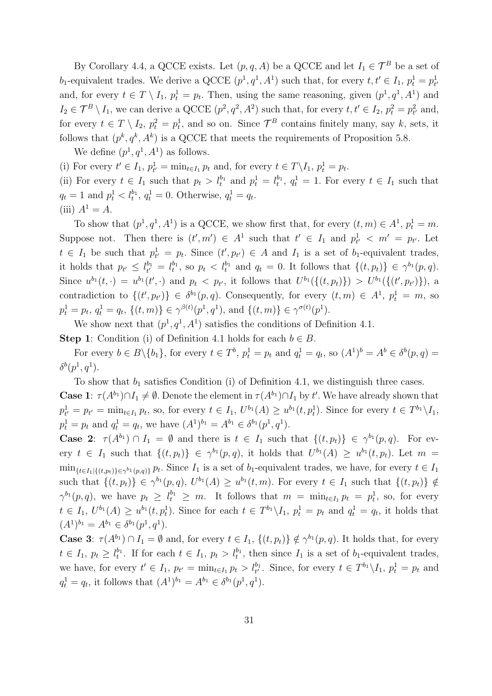By Corollary 4.4, a QCCE exists. Let  $(p, q, A)$  be a QCCE and let  $I_1 \in \mathcal{T}^B$  be a set of b<sub>1</sub>-equivalent trades. We derive a QCCE  $(p^1, q^1, A^1)$  such that, for every  $t, t' \in I_1$ ,  $p_t^1 = p_{t'}^1$ and, for every  $t \in T \setminus I_1$ ,  $p_t^1 = p_t$ . Then, using the same reasoning, given  $(p^1, q^1, A^1)$  and  $I_2 \in \mathcal{T}^B \setminus I_1$ , we can derive a QCCE  $(p^2, q^2, A^2)$  such that, for every  $t, t' \in I_2$ ,  $p_t^2 = p_{t'}^2$  and, for every  $t \in T \setminus I_2$ ,  $p_t^2 = p_t^1$ , and so on. Since  $\mathcal{T}^B$  contains finitely many, say k, sets, it follows that  $(p^k, q^k, A^k)$  is a QCCE that meets the requirements of Proposition 5.8.

We define  $(p^1, q^1, A^1)$  as follows.

(i) For every  $t' \in I_1$ ,  $p_{t'}^1 = \min_{t \in I_1} p_t$  and, for every  $t \in T \setminus I_1$ ,  $p_t^1 = p_t$ .

(ii) For every  $t \in I_1$  such that  $p_t > l_t^{b_1}$  and  $p_t^1 = l_t^{b_1}$ ,  $q_t^1 = 1$ . For every  $t \in I_1$  such that  $q_t = 1$  and  $p_t^1 < l_t^{b_1}, q_t^1 = 0$ . Otherwise,  $q_t^1 = q_t$ . (iii)  $A^1 = A$ .

To show that  $(p^1, q^1, A^1)$  is a QCCE, we show first that, for every  $(t, m) \in A^1$ ,  $p_t^1 = m$ . Suppose not. Then there is  $(t', m') \in A^1$  such that  $t' \in I_1$  and  $p_{t'}^1 < m' = p_{t'}$ . Let  $t \in I_1$  be such that  $p_{t'}^1 = p_t$ . Since  $(t', p_{t'}) \in A$  and  $I_1$  is a set of  $b_1$ -equivalent trades, it holds that  $p_{t'} \leq l_{t'}^{b_1} = l_t^{b_1}$ , so  $p_t < l_t^{b_1}$  and  $q_t = 0$ . It follows that  $\{(t, p_t)\} \in \gamma^{b_1}(p, q)$ . Since  $u^{b_1}(t, \cdot) = u^{b_1}(t', \cdot)$  and  $p_t < p_{t'}$ , it follows that  $U^{b_1}(\{(t, p_t)\}) > U^{b_1}(\{(t', p_{t'})\})$ , a contradiction to  $\{(t', p_{t'})\} \in \delta^{b_1}(p, q)$ . Consequently, for every  $(t, m) \in A^1$ ,  $p_t^1 = m$ , so  $p_t^1 = p_t, q_t^1 = q_t, \{(t, m)\}\in \gamma^{\beta(t)}(p^1, q^1), \text{ and } \{(t, m)\}\in \gamma^{\sigma(t)}(p^1).$ 

We show next that  $(p^1, q^1, A^1)$  satisfies the conditions of Definition 4.1.

**Step 1:** Condition (i) of Definition 4.1 holds for each  $b \in B$ .

For every  $b \in B \setminus \{b_1\}$ , for every  $t \in T^b$ ,  $p_t^1 = p_t$  and  $q_t^1 = q_t$ , so  $(A^1)^b = A^b \in \delta^b(p, q) =$  $\delta^b(p^1,q^1)$ .

To show that  $b_1$  satisfies Condition (i) of Definition 4.1, we distinguish three cases. **Case 1**:  $\tau(A^{b_1}) \cap I_1 \neq \emptyset$ . Denote the element in  $\tau(A^{b_1}) \cap I_1$  by t'. We have already shown that  $p_{t'}^1 = p_{t'} = \min_{t \in I_1} p_t$ , so, for every  $t \in I_1$ ,  $U^{b_1}(A) \ge u^{b_1}(t, p_t^1)$ . Since for every  $t \in T^{b_1} \backslash I_1$ ,  $p_t^1 = p_t$  and  $q_t^1 = q_t$ , we have  $(A^1)^{b_1} = A^{b_1} \in \delta^{b_1}(p^1, q^1)$ .

**Case 2:**  $\tau(A^{b_1}) \cap I_1 = \emptyset$  and there is  $t \in I_1$  such that  $\{(t, p_t)\}\in \gamma^{b_1}(p, q)$ . For every  $t \in I_1$  such that  $\{(t,p_t)\}\in \gamma^{b_1}(p,q)$ , it holds that  $U^{b_1}(A) \geq u^{b_1}(t,p_t)$ . Let  $m =$  $\min_{\{t \in I_1 | \{(t,p_t)\} \in \gamma^{b_1}(p,q)\}} p_t$ . Since  $I_1$  is a set of  $b_1$ -equivalent trades, we have, for every  $t \in I_1$ such that  $\{(t, p_t)\}\in \gamma^{b_1}(p, q)$ ,  $U^{b_1}(A) \geq u^{b_1}(t, m)$ . For every  $t \in I_1$  such that  $\{(t, p_t)\}\notin I_1$  $\gamma^{b_1}(p,q)$ , we have  $p_t \geq l_t^{b_1} \geq m$ . It follows that  $m = \min_{t \in I_1} p_t = p_t^1$ , so, for every  $t \in I_1$ ,  $U^{b_1}(A) \geq u^{b_1}(t, p_t^1)$ . Since for each  $t \in T^{b_1} \backslash I_1$ ,  $p_t^1 = p_t$  and  $q_t^1 = q_t$ , it holds that  $(A^1)^{b_1} = A^{b_1} \in \delta^{b_1}(p^1, q^1).$ 

**Case 3:**  $\tau(A^{b_1}) \cap I_1 = \emptyset$  and, for every  $t \in I_1$ ,  $\{(t, p_t)\}\notin \gamma^{b_1}(p, q)$ . It holds that, for every  $t \in I_1$ ,  $p_t \geq l_t^{b_1}$ . If for each  $t \in I_1$ ,  $p_t > l_t^{b_1}$ , then since  $I_1$  is a set of  $b_1$ -equivalent trades, we have, for every  $t' \in I_1$ ,  $p_{t'} = \min_{t \in I_1} p_t > l_{t'}^{b_1}$ . Since, for every  $t \in T^{b_1} \backslash I_1$ ,  $p_t^1 = p_t$  and  $q_t^1 = q_t$ , it follows that  $(A^1)^{b_1} = A^{b_1} \in \delta^{b_1}(p^1, q^1)$ .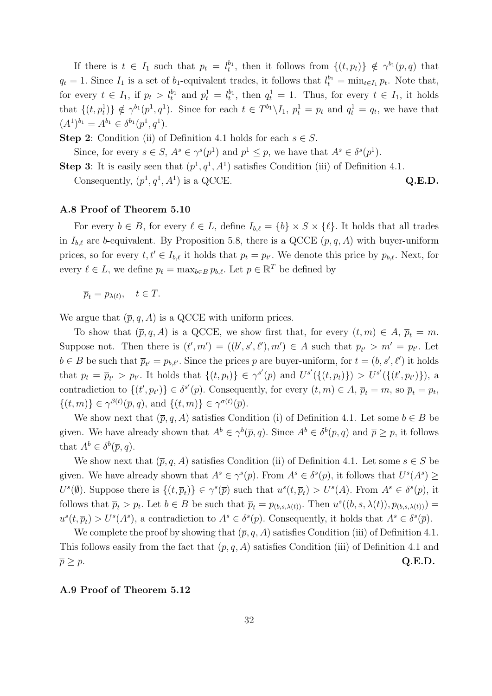If there is  $t \in I_1$  such that  $p_t = l_t^{b_1}$ , then it follows from  $\{(t, p_t)\}\notin \gamma^{b_1}(p, q)$  that  $q_t = 1$ . Since  $I_1$  is a set of b<sub>1</sub>-equivalent trades, it follows that  $l_t^{b_1} = \min_{t \in I_1} p_t$ . Note that, for every  $t \in I_1$ , if  $p_t > l_t^{b_1}$  and  $p_t^1 = l_t^{b_1}$ , then  $q_t^1 = 1$ . Thus, for every  $t \in I_1$ , it holds that  $\{(t, p_t^1)\}\notin \gamma^{b_1}(p^1, q^1)$ . Since for each  $t \in T^{b_1}\backslash I_1$ ,  $p_t^1=p_t$  and  $q_t^1=q_t$ , we have that  $(A^1)^{b_1} = A^{b_1} \in \delta^{b_1}(p^1, q^1).$ 

**Step 2:** Condition (ii) of Definition 4.1 holds for each  $s \in S$ .

Since, for every  $s \in S$ ,  $A^s \in \gamma^s(p^1)$  and  $p^1 \leq p$ , we have that  $A^s \in \delta^s(p^1)$ .

**Step 3**: It is easily seen that  $(p^1, q^1, A^1)$  satisfies Condition (iii) of Definition 4.1.

Consequently,  $(p^1, q^1, A^1)$  is a QCCE.  $Q.E.D.$ 

## A.8 Proof of Theorem 5.10

For every  $b \in B$ , for every  $\ell \in L$ , define  $I_{b,\ell} = \{b\} \times S \times \{\ell\}$ . It holds that all trades in  $I_{b,\ell}$  are b-equivalent. By Proposition 5.8, there is a QCCE  $(p, q, A)$  with buyer-uniform prices, so for every  $t, t' \in I_{b,\ell}$  it holds that  $p_t = p_{t'}$ . We denote this price by  $p_{b,\ell}$ . Next, for every  $\ell \in L$ , we define  $p_{\ell} = \max_{b \in B} p_{b,\ell}$ . Let  $\overline{p} \in \mathbb{R}^T$  be defined by

 $\overline{p}_t = p_{\lambda(t)}, \quad t \in T.$ 

We argue that  $(\bar{p}, q, A)$  is a QCCE with uniform prices.

To show that  $(\bar{p}, q, A)$  is a QCCE, we show first that, for every  $(t, m) \in A$ ,  $\bar{p}_t = m$ . Suppose not. Then there is  $(t', m') = ((b', s', \ell'), m') \in A$  such that  $\overline{p}_{t'} > m' = p_{t'}$ . Let  $b \in B$  be such that  $\overline{p}_{t'} = p_{b,\ell'}$ . Since the prices p are buyer-uniform, for  $t = (b, s', \ell')$  it holds that  $p_t = \overline{p}_{t'} > p_{t'}$ . It holds that  $\{(t, p_t)\}\in \gamma^{s'}(p)$  and  $U^{s'}(\{(t, p_t)\}) > U^{s'}(\{(t', p_{t'})\})$ , a contradiction to  $\{(t', p_{t'})\}\in \delta^{s'}(p)$ . Consequently, for every  $(t, m) \in A$ ,  $\overline{p}_t = m$ , so  $\overline{p}_t = p_t$ ,  $\{(t,m)\}\in \gamma^{\beta(t)}(\overline{p},q)$ , and  $\{(t,m)\}\in \gamma^{\sigma(t)}(\overline{p})$ .

We show next that  $(\bar{p}, q, A)$  satisfies Condition (i) of Definition 4.1. Let some  $b \in B$  be given. We have already shown that  $A^b \in \gamma^b(\overline{p}, q)$ . Since  $A^b \in \delta^b(p, q)$  and  $\overline{p} \geq p$ , it follows that  $A^b \in \delta^b(\overline{p}, q)$ .

We show next that  $(\bar{p}, q, A)$  satisfies Condition (ii) of Definition 4.1. Let some  $s \in S$  be given. We have already shown that  $A^s \in \gamma^s(\overline{p})$ . From  $A^s \in \delta^s(p)$ , it follows that  $U^s(A^s) \geq$  $U^s(\emptyset)$ . Suppose there is  $\{(t,\overline{p}_t)\}\in \gamma^s(\overline{p})$  such that  $u^s(t,\overline{p}_t) > U^s(A)$ . From  $A^s \in \delta^s(p)$ , it follows that  $\overline{p}_t > p_t$ . Let  $b \in B$  be such that  $\overline{p}_t = p_{(b,s,\lambda(t))}$ . Then  $u^s((b,s,\lambda(t)),p_{(b,s,\lambda(t))}) =$  $u^s(t,\overline{p}_t) > U^s(A^s)$ , a contradiction to  $A^s \in \delta^s(p)$ . Consequently, it holds that  $A^s \in \delta^s(\overline{p})$ .

We complete the proof by showing that  $(\bar{p}, q, A)$  satisfies Condition (iii) of Definition 4.1. This follows easily from the fact that  $(p, q, A)$  satisfies Condition (iii) of Definition 4.1 and  $\overline{p} \geq p.$  Q.E.D.

## A.9 Proof of Theorem 5.12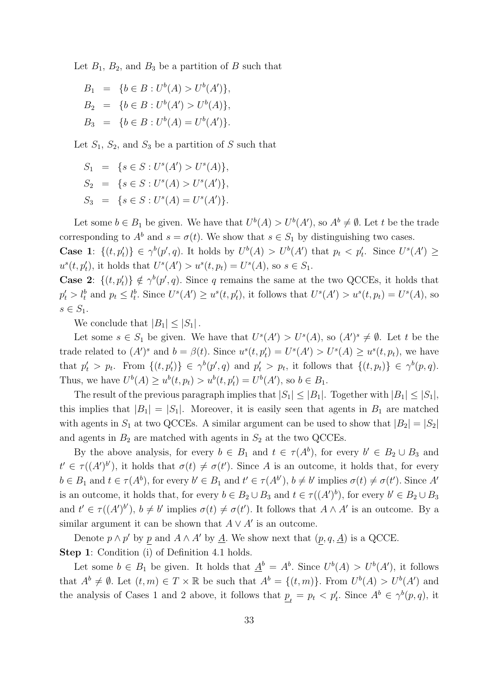Let  $B_1$ ,  $B_2$ , and  $B_3$  be a partition of B such that

$$
B_1 = \{b \in B : U^b(A) > U^b(A')\},\
$$
  
\n
$$
B_2 = \{b \in B : U^b(A') > U^b(A)\},\
$$
  
\n
$$
B_3 = \{b \in B : U^b(A) = U^b(A')\}.
$$

Let  $S_1$ ,  $S_2$ , and  $S_3$  be a partition of S such that

$$
S_1 = \{ s \in S : U^s(A') > U^s(A) \},
$$
  
\n
$$
S_2 = \{ s \in S : U^s(A) > U^s(A') \},
$$
  
\n
$$
S_3 = \{ s \in S : U^s(A) = U^s(A') \}.
$$

Let some  $b \in B_1$  be given. We have that  $U^b(A) > U^b(A')$ , so  $A^b \neq \emptyset$ . Let t be the trade corresponding to  $A^b$  and  $s = \sigma(t)$ . We show that  $s \in S_1$  by distinguishing two cases.

**Case 1:**  $\{(t, p'_t)\}\in \gamma^b(p', q)$ . It holds by  $U^b(A) > U^b(A')$  that  $p_t < p'_t$ . Since  $U^s(A') \geq$  $u^s(t, p'_t)$ , it holds that  $U^s(A') > u^s(t, p_t) = U^s(A)$ , so  $s \in S_1$ .

**Case 2:**  $\{(t, p'_t)\}\notin \gamma^b(p', q)$ . Since q remains the same at the two QCCEs, it holds that  $p'_t > l_t^b$  and  $p_t \leq l_t^b$ . Since  $U^s(A') \geq u^s(t, p'_t)$ , it follows that  $U^s(A') > u^s(t, p_t) = U^s(A)$ , so  $s \in S_1$ .

We conclude that  $|B_1| \leq |S_1|$ .

Let some  $s \in S_1$  be given. We have that  $U^s(A') > U^s(A)$ , so  $(A')^s \neq \emptyset$ . Let t be the trade related to  $(A')^s$  and  $b = \beta(t)$ . Since  $u^s(t, p'_t) = U^s(A') > U^s(A) \ge u^s(t, p_t)$ , we have that  $p'_t > p_t$ . From  $\{(t, p'_t)\}\in \gamma^b(p', q)$  and  $p'_t > p_t$ , it follows that  $\{(t, p_t)\}\in \gamma^b(p, q)$ . Thus, we have  $U^b(A) \ge u^b(t, p_t) > u^b(t, p'_t) = U^b(A')$ , so  $b \in B_1$ .

The result of the previous paragraph implies that  $|S_1| \leq |B_1|$ . Together with  $|B_1| \leq |S_1|$ , this implies that  $|B_1| = |S_1|$ . Moreover, it is easily seen that agents in  $B_1$  are matched with agents in  $S_1$  at two QCCEs. A similar argument can be used to show that  $|B_2| = |S_2|$ and agents in  $B_2$  are matched with agents in  $S_2$  at the two QCCEs.

By the above analysis, for every  $b \in B_1$  and  $t \in \tau(A^b)$ , for every  $b' \in B_2 \cup B_3$  and  $t' \in \tau((A')^{b'})$ , it holds that  $\sigma(t) \neq \sigma(t')$ . Since A is an outcome, it holds that, for every  $b \in B_1$  and  $t \in \tau(A^b)$ , for every  $b' \in B_1$  and  $t' \in \tau(A^{b'})$ ,  $b \neq b'$  implies  $\sigma(t) \neq \sigma(t')$ . Since A' is an outcome, it holds that, for every  $b \in B_2 \cup B_3$  and  $t \in \tau((A')^b)$ , for every  $b' \in B_2 \cup B_3$ and  $t' \in \tau((A')^{b'})$ ,  $b \neq b'$  implies  $\sigma(t) \neq \sigma(t')$ . It follows that  $A \wedge A'$  is an outcome. By a similar argument it can be shown that  $A \vee A'$  is an outcome.

Denote  $p \wedge p'$  by p and  $A \wedge A'$  by  $\underline{A}$ . We show next that  $(p, q, \underline{A})$  is a QCCE. Step 1: Condition (i) of Definition 4.1 holds.

Let some  $b \in B_1$  be given. It holds that  $\underline{A}^b = A^b$ . Since  $U^b(A) > U^b(A')$ , it follows that  $A^b \neq \emptyset$ . Let  $(t, m) \in T \times \mathbb{R}$  be such that  $A^b = \{(t, m)\}\$ . From  $U^b(A) > U^b(A')$  and the analysis of Cases 1 and 2 above, it follows that  $\underline{p}_t = p_t \langle p'_t \rangle$ . Since  $A^b \in \gamma^b(p, q)$ , it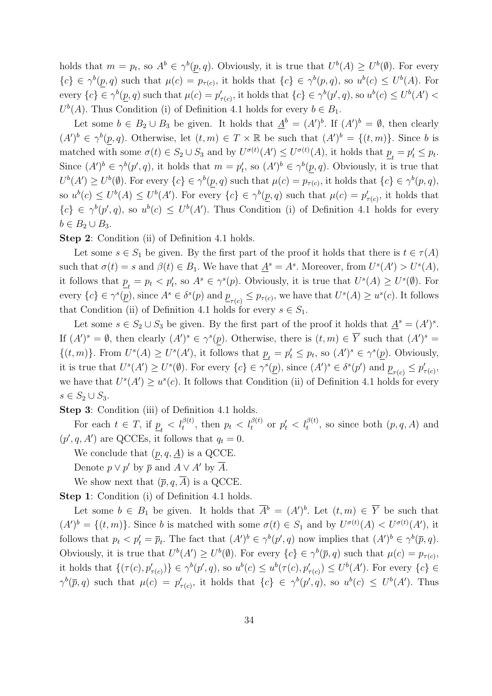holds that  $m = p_t$ , so  $A^b \in \gamma^b(p, q)$ . Obviously, it is true that  $U^b(A) \geq U^b(\emptyset)$ . For every  ${c} \in \gamma^{b}(p,q)$  such that  $\mu(c) = p_{\tau(c)}$ , it holds that  ${c} \in \gamma^{b}(p,q)$ , so  $u^{b}(c) \leq U^{b}(A)$ . For every  ${c} \in \gamma^b(\underline{p}, q)$  such that  $\mu(c) = p'_{\tau(c)}$ , it holds that  ${c} \in \gamma^b(p', q)$ , so  $u^b(c) \leq U^b(A')$  $U^b(A)$ . Thus Condition (i) of Definition 4.1 holds for every  $b \in B_1$ .

Let some  $b \in B_2 \cup B_3$  be given. It holds that  $\underline{A}^b = (A')^b$ . If  $(A')^b = \emptyset$ , then clearly  $(A')^b \in \gamma^b(p,q)$ . Otherwise, let  $(t,m) \in T \times \mathbb{R}$  be such that  $(A')^b = \{(t,m)\}$ . Since b is matched with some  $\sigma(t) \in S_2 \cup S_3$  and by  $U^{\sigma(t)}(A') \leq U^{\sigma(t)}(A)$ , it holds that  $\underline{p}_t = p'_t \leq p_t$ . Since  $(A')^b \in \gamma^b(p', q)$ , it holds that  $m = p'_t$ , so  $(A')^b \in \gamma^b(\underline{p}, q)$ . Obviously, it is true that  $U^b(A') \geq U^b(\emptyset)$ . For every  $\{c\} \in \gamma^b(p,q)$  such that  $\mu(c) = p_{\tau(c)}$ , it holds that  $\{c\} \in \gamma^b(p,q)$ , so  $u^b(c) \leq U^b(A) \leq U^b(A')$ . For every  $\{c\} \in \gamma^b(\underline{p}, q)$  such that  $\mu(c) = p'_{\tau(c)}$ , it holds that  ${c} \in \gamma^b(p', q)$ , so  $u^b(c) \leq U^b(A')$ . Thus Condition (i) of Definition 4.1 holds for every  $b \in B_2 \cup B_3$ .

Step 2: Condition (ii) of Definition 4.1 holds.

Let some  $s \in S_1$  be given. By the first part of the proof it holds that there is  $t \in \tau(A)$ such that  $\sigma(t) = s$  and  $\beta(t) \in B_1$ . We have that  $\underline{A}^s = A^s$ . Moreover, from  $U^s(A') > U^s(A)$ , it follows that  $\underline{p}_t = p_t < p'_t$ , so  $A^s \in \gamma^s(p)$ . Obviously, it is true that  $U^s(A) \geq U^s(\emptyset)$ . For every  ${c} \in \gamma^s(\underline{p})$ , since  $A^s \in \delta^s(p)$  and  $\underline{p}_{\tau(c)} \leq p_{\tau(c)}$ , we have that  $U^s(A) \geq u^s(c)$ . It follows that Condition (ii) of Definition 4.1 holds for every  $s \in S_1$ .

Let some  $s \in S_2 \cup S_3$  be given. By the first part of the proof it holds that  $\underline{A}^s = (A')^s$ . If  $(A')^s = \emptyset$ , then clearly  $(A')^s \in \gamma^s(p)$ . Otherwise, there is  $(t,m) \in \overline{Y}$  such that  $(A')^s =$  $\{(t,m)\}\.$  From  $U^{s}(A) \geq U^{s}(A')$ , it follows that  $\underline{p}_t = p'_t \leq p_t$ , so  $(A')^{s} \in \gamma^{s}(\underline{p})$ . Obviously, it is true that  $U^{s}(A') \geq U^{s}(\emptyset)$ . For every  $\{c\} \in \gamma^{s}(\underline{p})$ , since  $(A')^{s} \in \delta^{s}(p')$  and  $\underline{p}_{\tau(c)} \leq p'_{\tau(c)}$ , we have that  $U^{s}(A') \geq u^{s}(c)$ . It follows that Condition (ii) of Definition 4.1 holds for every  $s \in S_2 \cup S_3$ .

Step 3: Condition (iii) of Definition 4.1 holds.

For each  $t \in T$ , if  $\underline{p}_t < l_t^{\beta(t)}$ , then  $p_t < l_t^{\beta(t)}$  or  $p'_t < l_t^{\beta(t)}$ , so since both  $(p, q, A)$  and  $(p', q, A')$  are QCCEs, it follows that  $q_t = 0$ .

We conclude that  $(p, q, \underline{A})$  is a QCCE.

Denote  $p \vee p'$  by  $\overline{p}$  and  $A \vee A'$  by  $\overline{A}$ .

We show next that  $(\overline{p}, q, \overline{A})$  is a QCCE.

Step 1: Condition (i) of Definition 4.1 holds.

Let some  $b \in B_1$  be given. It holds that  $\overline{A}^b = (A')^b$ . Let  $(t,m) \in \overline{Y}$  be such that  $(A')^b = \{(t, m)\}.$  Since b is matched with some  $\sigma(t) \in S_1$  and by  $U^{\sigma(t)}(A) < U^{\sigma(t)}(A')$ , it follows that  $p_t < p'_t = \overline{p}_t$ . The fact that  $(A')^b \in \gamma^b(p', q)$  now implies that  $(A')^b \in \gamma^b(\overline{p}, q)$ . Obviously, it is true that  $U^b(A') \geq U^b(\emptyset)$ . For every  $\{c\} \in \gamma^b(\overline{p}, q)$  such that  $\mu(c) = p_{\tau(c)}$ , it holds that  $\{(\tau(c), p'_{\tau(c)})\} \in \gamma^b(p', q)$ , so  $u^b(c) \leq u^b(\tau(c), p'_{\tau(c)}) \leq U^b(A')$ . For every  $\{c\} \in$  $\gamma^{b}(\overline{p}, q)$  such that  $\mu(c) = p'_{\tau(c)}$ , it holds that  $\{c\} \in \gamma^{b}(p', q)$ , so  $u^{b}(c) \leq U^{b}(A')$ . Thus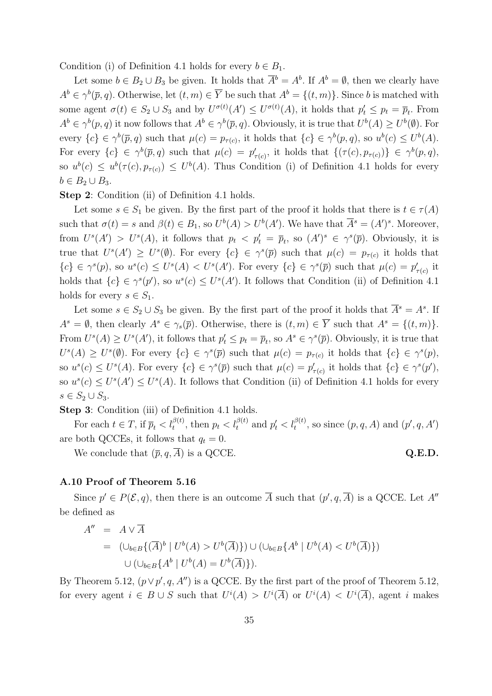Condition (i) of Definition 4.1 holds for every  $b \in B_1$ .

Let some  $b \in B_2 \cup B_3$  be given. It holds that  $\overline{A}^b = A^b$ . If  $A^b = \emptyset$ , then we clearly have  $A^b \in \gamma^b(\overline{p}, q)$ . Otherwise, let  $(t, m) \in \overline{Y}$  be such that  $A^b = \{(t, m)\}\$ . Since b is matched with some agent  $\sigma(t) \in S_2 \cup S_3$  and by  $U^{\sigma(t)}(A') \leq U^{\sigma(t)}(A)$ , it holds that  $p'_t \leq p_t = \overline{p}_t$ . From  $A^b \in \gamma^b(p,q)$  it now follows that  $A^b \in \gamma^b(\overline{p}, q)$ . Obviously, it is true that  $U^b(A) \geq U^b(\emptyset)$ . For every  ${c} \in \gamma^b(\overline{p}, q)$  such that  $\mu(c) = p_{\tau(c)}$ , it holds that  ${c} \in \gamma^b(p, q)$ , so  $u^b(c) \leq U^b(A)$ . For every  $\{c\} \in \gamma^b(\overline{p}, q)$  such that  $\mu(c) = p'_{\tau(c)}$ , it holds that  $\{(\tau(c), p_{\tau(c)})\} \in \gamma^b(p, q)$ , so  $u^b(c) \leq u^b(\tau(c), p_{\tau(c)}) \leq U^b(A)$ . Thus Condition (i) of Definition 4.1 holds for every  $b \in B_2 \cup B_3$ .

Step 2: Condition (ii) of Definition 4.1 holds.

Let some  $s \in S_1$  be given. By the first part of the proof it holds that there is  $t \in \tau(A)$ such that  $\sigma(t) = s$  and  $\beta(t) \in B_1$ , so  $U^b(A) > U^b(A')$ . We have that  $\overline{A}^s = (A')^s$ . Moreover, from  $U^{s}(A') > U^{s}(A)$ , it follows that  $p_t < p'_t = \overline{p}_t$ , so  $(A')^{s} \in \gamma^{s}(\overline{p})$ . Obviously, it is true that  $U^s(A') \geq U^s(\emptyset)$ . For every  $\{c\} \in \gamma^s(\overline{p})$  such that  $\mu(c) = p_{\tau(c)}$  it holds that  ${c} \in \gamma^s(p)$ , so  $u^s(c) \leq U^s(A) < U^s(A')$ . For every  ${c} \in \gamma^s(\overline{p})$  such that  $\mu(c) = p'_{\tau(c)}$  it holds that  ${c} \in \gamma^{s}(p')$ , so  $u^{s}(c) \leq U^{s}(A')$ . It follows that Condition (ii) of Definition 4.1 holds for every  $s \in S_1$ .

Let some  $s \in S_2 \cup S_3$  be given. By the first part of the proof it holds that  $\overline{A}^s = A^s$ . If  $A^s = \emptyset$ , then clearly  $A^s \in \gamma_s(\overline{p})$ . Otherwise, there is  $(t, m) \in \overline{Y}$  such that  $A^s = \{(t, m)\}.$ From  $U^s(A) \geq U^s(A')$ , it follows that  $p'_t \leq p_t = \overline{p}_t$ , so  $A^s \in \gamma^s(\overline{p})$ . Obviously, it is true that  $U^{s}(A) \geq U^{s}(\emptyset)$ . For every  $\{c\} \in \gamma^{s}(\overline{p})$  such that  $\mu(c) = p_{\tau(c)}$  it holds that  $\{c\} \in \gamma^{s}(p)$ , so  $u^s(c) \leq U^s(A)$ . For every  $\{c\} \in \gamma^s(\overline{p})$  such that  $\mu(c) = p'_{\tau(c)}$  it holds that  $\{c\} \in \gamma^s(p')$ , so  $u^s(c) \leq U^s(A') \leq U^s(A)$ . It follows that Condition (ii) of Definition 4.1 holds for every  $s \in S_2 \cup S_3$ .

Step 3: Condition (iii) of Definition 4.1 holds.

For each  $t \in T$ , if  $\overline{p}_t < l_t^{\beta(t)}$ , then  $p_t < l_t^{\beta(t)}$  and  $p'_t < l_t^{\beta(t)}$ , so since  $(p, q, A)$  and  $(p', q, A')$ are both QCCEs, it follows that  $q_t = 0$ .

We conclude that  $(\overline{p}, q, \overline{A})$  is a QCCE. Q.E.D.

## A.10 Proof of Theorem 5.16

Since  $p' \in P(\mathcal{E}, q)$ , then there is an outcome  $\overline{A}$  such that  $(p', q, \overline{A})$  is a QCCE. Let A'' be defined as

$$
A'' = A \vee \overline{A}
$$
  
=  $(\cup_{b \in B} \{(\overline{A})^b | U^b(A) > U^b(\overline{A})\}) \cup (\cup_{b \in B} \{A^b | U^b(A) < U^b(\overline{A})\})$   
 $\cup (\cup_{b \in B} \{A^b | U^b(A) = U^b(\overline{A})\}).$ 

By Theorem 5.12,  $(p \lor p', q, A'')$  is a QCCE. By the first part of the proof of Theorem 5.12, for every agent  $i \in B \cup S$  such that  $U^{i}(A) > U^{i}(\overline{A})$  or  $U^{i}(A) < U^{i}(\overline{A})$ , agent i makes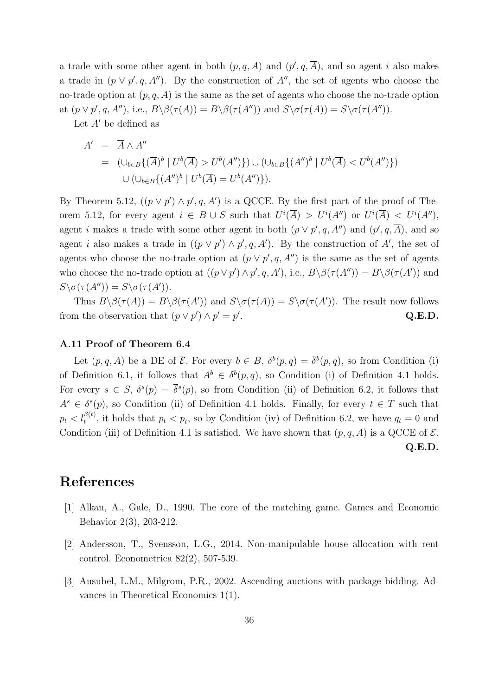a trade with some other agent in both  $(p, q, A)$  and  $(p', q, \overline{A})$ , and so agent i also makes a trade in  $(p \vee p', q, A'')$ . By the construction of A'', the set of agents who choose the no-trade option at  $(p, q, A)$  is the same as the set of agents who choose the no-trade option at  $(p \lor p', q, A'')$ , i.e.,  $B \setminus \beta(\tau(A)) = B \setminus \beta(\tau(A''))$  and  $S \setminus \sigma(\tau(A)) = S \setminus \sigma(\tau(A''))$ .

Let  $A'$  be defined as

$$
A' = \overline{A} \wedge A''
$$
  
=  $(\cup_{b \in B} \{(\overline{A})^b | U^b(\overline{A}) > U^b(A'')\}) \cup (\cup_{b \in B} \{({A''})^b | U^b(\overline{A}) < U^b(A'')\})$   
 $\cup (\cup_{b \in B} \{({A''})^b | U^b(\overline{A}) = U^b(A'')\}).$ 

By Theorem 5.12,  $((p \lor p') \land p', q, A')$  is a QCCE. By the first part of the proof of Theorem 5.12, for every agent  $i \in B \cup S$  such that  $U^{i}(\overline{A}) > U^{i}(A'')$  or  $U^{i}(\overline{A}) < U^{i}(A'')$ , agent i makes a trade with some other agent in both  $(p \lor p', q, A'')$  and  $(p', q, \overline{A})$ , and so agent i also makes a trade in  $((p \lor p') \land p', q, A')$ . By the construction of A', the set of agents who choose the no-trade option at  $(p \vee p', q, A'')$  is the same as the set of agents who choose the no-trade option at  $((p \lor p') \land p', q, A')$ , i.e.,  $B \setminus \beta(\tau(A'')) = B \setminus \beta(\tau(A'))$  and  $S \setminus \sigma(\tau(A'')) = S \setminus \sigma(\tau(A')).$ 

Thus  $B \setminus \beta(\tau(A)) = B \setminus \beta(\tau(A'))$  and  $S \setminus \sigma(\tau(A)) = S \setminus \sigma(\tau(A'))$ . The result now follows from the observation that  $(p \lor p') \land p' = p'$ . Q.E.D.

### A.11 Proof of Theorem 6.4

Let  $(p, q, A)$  be a DE of  $\overline{\mathcal{E}}$ . For every  $b \in B$ ,  $\delta^b(p,q) = \overline{\delta}^b(p,q)$ , so from Condition (i) of Definition 6.1, it follows that  $A^b \in \delta^b(p,q)$ , so Condition (i) of Definition 4.1 holds. For every  $s \in S$ ,  $\delta^s(p) = \overline{\delta^s(p)}$ , so from Condition (ii) of Definition 6.2, it follows that  $A^s \in \delta^s(p)$ , so Condition (ii) of Definition 4.1 holds. Finally, for every  $t \in T$  such that  $p_t < l_t^{\beta(t)}$ , it holds that  $p_t < \overline{p}_t$ , so by Condition (iv) of Definition 6.2, we have  $q_t = 0$  and Condition (iii) of Definition 4.1 is satisfied. We have shown that  $(p, q, A)$  is a QCCE of  $\mathcal{E}$ . Q.E.D.

## References

- [1] Alkan, A., Gale, D., 1990. The core of the matching game. Games and Economic Behavior 2(3), 203-212.
- [2] Andersson, T., Svensson, L.G., 2014. Non-manipulable house allocation with rent control. Econometrica 82(2), 507-539.
- [3] Ausubel, L.M., Milgrom, P.R., 2002. Ascending auctions with package bidding. Advances in Theoretical Economics 1(1).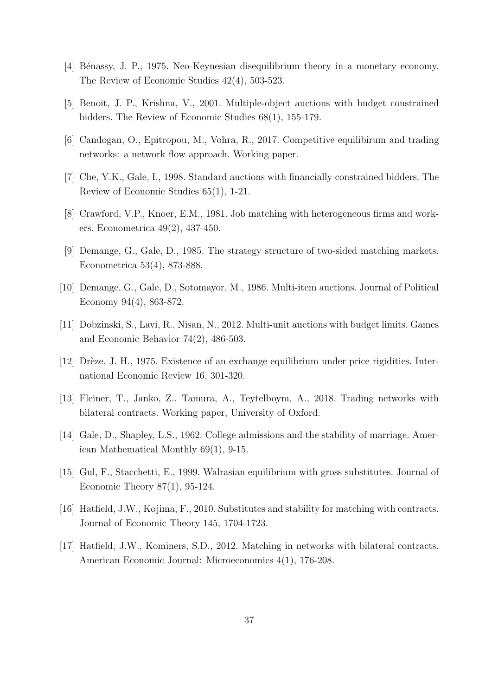- [4] B´enassy, J. P., 1975. Neo-Keynesian disequilibrium theory in a monetary economy. The Review of Economic Studies 42(4), 503-523.
- [5] Benoit, J. P., Krishna, V., 2001. Multiple-object auctions with budget constrained bidders. The Review of Economic Studies 68(1), 155-179.
- [6] Candogan, O., Epitropou, M., Vohra, R., 2017. Competitive equilibirum and trading networks: a network flow approach. Working paper.
- [7] Che, Y.K., Gale, I., 1998. Standard auctions with financially constrained bidders. The Review of Economic Studies 65(1), 1-21.
- [8] Crawford, V.P., Knoer, E.M., 1981. Job matching with heterogeneous firms and workers. Econometrica 49(2), 437-450.
- [9] Demange, G., Gale, D., 1985. The strategy structure of two-sided matching markets. Econometrica 53(4), 873-888.
- [10] Demange, G., Gale, D., Sotomayor, M., 1986. Multi-item auctions. Journal of Political Economy 94(4), 863-872.
- [11] Dobzinski, S., Lavi, R., Nisan, N., 2012. Multi-unit auctions with budget limits. Games and Economic Behavior 74(2), 486-503.
- [12] Drèze, J. H., 1975. Existence of an exchange equilibrium under price rigidities. International Economic Review 16, 301-320.
- [13] Fleiner, T., Janko, Z., Tamura, A., Teytelboym, A., 2018. Trading networks with bilateral contracts. Working paper, University of Oxford.
- [14] Gale, D., Shapley, L.S., 1962. College admissions and the stability of marriage. American Mathematical Monthly 69(1), 9-15.
- [15] Gul, F., Stacchetti, E., 1999. Walrasian equilibrium with gross substitutes. Journal of Economic Theory 87(1), 95-124.
- [16] Hatfield, J.W., Kojima, F., 2010. Substitutes and stability for matching with contracts. Journal of Economic Theory 145, 1704-1723.
- [17] Hatfield, J.W., Kominers, S.D., 2012. Matching in networks with bilateral contracts. American Economic Journal: Microeconomics 4(1), 176-208.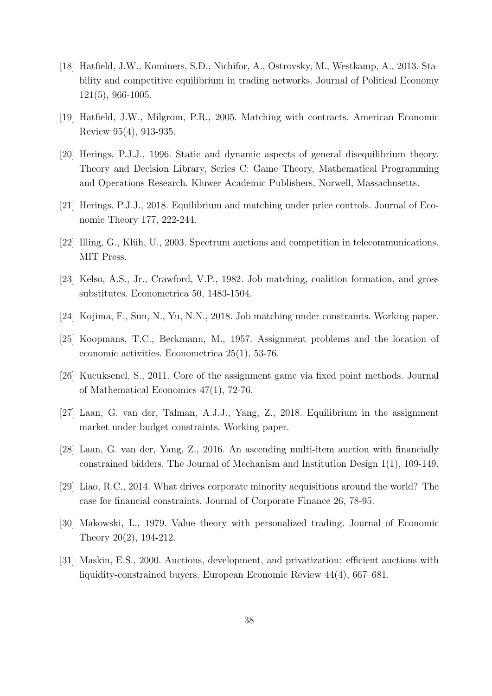- [18] Hatfield, J.W., Kominers, S.D., Nichifor, A., Ostrovsky, M., Westkamp, A., 2013. Stability and competitive equilibrium in trading networks. Journal of Political Economy 121(5), 966-1005.
- [19] Hatfield, J.W., Milgrom, P.R., 2005. Matching with contracts. American Economic Review 95(4), 913-935.
- [20] Herings, P.J.J., 1996. Static and dynamic aspects of general disequilibrium theory. Theory and Decision Library, Series C: Game Theory, Mathematical Programming and Operations Research. Kluwer Academic Publishers, Norwell, Massachusetts.
- [21] Herings, P.J.J., 2018. Equilibrium and matching under price controls. Journal of Economic Theory 177, 222-244.
- [22] Illing, G., Kl¨uh, U., 2003. Spectrum auctions and competition in telecommunications. MIT Press.
- [23] Kelso, A.S., Jr., Crawford, V.P., 1982. Job matching, coalition formation, and gross substitutes. Econometrica 50, 1483-1504.
- [24] Kojima, F., Sun, N., Yu, N.N., 2018. Job matching under constraints. Working paper.
- [25] Koopmans, T.C., Beckmann, M., 1957. Assignment problems and the location of economic activities. Econometrica 25(1), 53-76.
- [26] Kucuksenel, S., 2011. Core of the assignment game via fixed point methods. Journal of Mathematical Economics 47(1), 72-76.
- [27] Laan, G. van der, Talman, A.J.J., Yang, Z., 2018. Equilibrium in the assignment market under budget constraints. Working paper.
- [28] Laan, G. van der, Yang, Z., 2016. An ascending multi-item auction with financially constrained bidders. The Journal of Mechanism and Institution Design 1(1), 109-149.
- [29] Liao, R.C., 2014. What drives corporate minority acquisitions around the world? The case for financial constraints. Journal of Corporate Finance 26, 78-95.
- [30] Makowski, L., 1979. Value theory with personalized trading. Journal of Economic Theory 20(2), 194-212.
- [31] Maskin, E.S., 2000. Auctions, development, and privatization: efficient auctions with liquidity-constrained buyers. European Economic Review 44(4), 667–681.